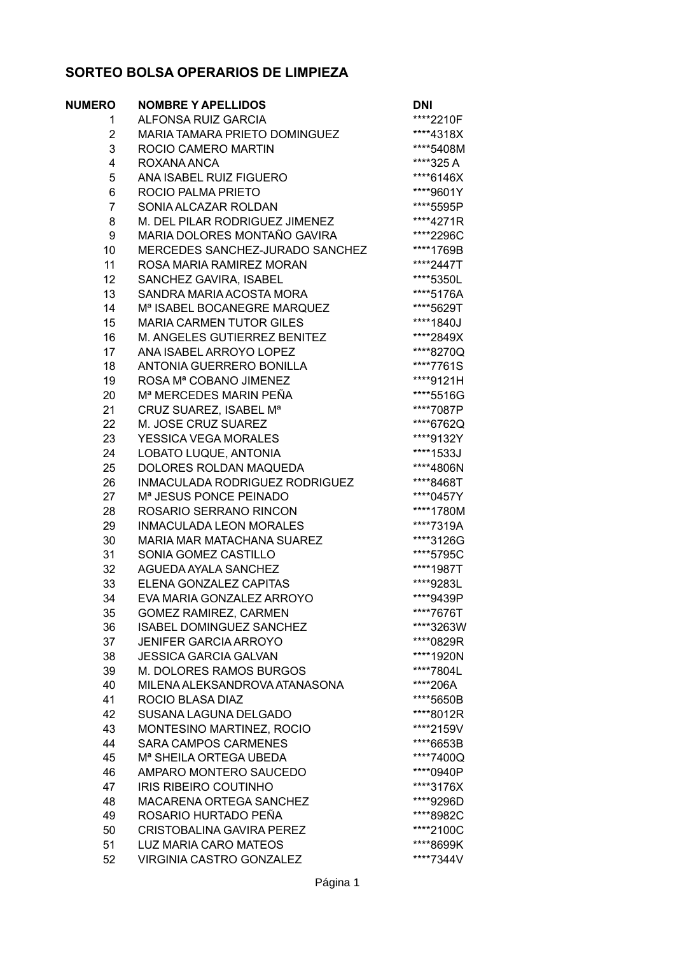## **SORTEO BOLSA OPERARIOS DE LIMPIEZA**

| <b>NUMERO</b>  | <b>NOMBRE Y APELLIDOS</b>               | <b>DNI</b> |
|----------------|-----------------------------------------|------------|
| 1.             | <b>ALFONSA RUIZ GARCIA</b>              | ****2210F  |
| 2              | MARIA TAMARA PRIETO DOMINGUEZ           | ****4318X  |
| 3              | ROCIO CAMERO MARTIN                     | ****5408M  |
| 4              | ROXANA ANCA                             | ****325 A  |
| 5              | ANA ISABEL RUIZ FIGUERO                 | ****6146X  |
| 6              | ROCIO PALMA PRIETO                      | ****9601Y  |
| $\overline{7}$ | SONIA ALCAZAR ROLDAN                    | ****5595P  |
| 8              | M. DEL PILAR RODRIGUEZ JIMENEZ          | ****4271R  |
| 9              | MARIA DOLORES MONTAÑO GAVIRA            | ****2296C  |
| 10             | MERCEDES SANCHEZ-JURADO SANCHEZ         | ****1769B  |
| 11             | ROSA MARIA RAMIREZ MORAN                | ****2447T  |
| 12             | SANCHEZ GAVIRA, ISABEL                  | ****5350L  |
| 13             | SANDRA MARIA ACOSTA MORA                | ****5176A  |
| 14             | M <sup>ª</sup> ISABEL BOCANEGRE MARQUEZ | ****5629T  |
| 15             | <b>MARIA CARMEN TUTOR GILES</b>         | ****1840J  |
| 16             | M. ANGELES GUTIERREZ BENITEZ            | ****2849X  |
| 17             | ANA ISABEL ARROYO LOPEZ                 | ****8270Q  |
| 18             | ANTONIA GUERRERO BONILLA                | ****7761S  |
| 19             | ROSA Mª COBANO JIMENEZ                  | ****9121H  |
| 20             | M <sup>a</sup> MERCEDES MARIN PEÑA      | ****5516G  |
| 21             | CRUZ SUAREZ, ISABEL M <sup>a</sup>      | ****7087P  |
| 22             | M. JOSE CRUZ SUAREZ                     | ****6762Q  |
| 23             | <b>YESSICA VEGA MORALES</b>             | ****9132Y  |
| 24             | LOBATO LUQUE, ANTONIA                   | ****1533J  |
| 25             | DOLORES ROLDAN MAQUEDA                  | ****4806N  |
| 26             | INMACULADA RODRIGUEZ RODRIGUEZ          | ****8468T  |
| 27             | M <sup>a</sup> JESUS PONCE PEINADO      | ****0457Y  |
| 28             | ROSARIO SERRANO RINCON                  | ****1780M  |
| 29             | <b>INMACULADA LEON MORALES</b>          | ****7319A  |
| 30             | MARIA MAR MATACHANA SUAREZ              | ****3126G  |
| 31             | SONIA GOMEZ CASTILLO                    | ****5795C  |
| 32             | AGUEDA AYALA SANCHEZ                    | ****1987T  |
| 33             | ELENA GONZALEZ CAPITAS                  | ****9283L  |
| 34             | EVA MARIA GONZALEZ ARROYO               | ****9439P  |
| 35             | <b>GOMEZ RAMIREZ, CARMEN</b>            | ****7676T  |
| 36             | ISABEL DOMINGUEZ SANCHEZ                | ****3263W  |
|                | <b>JENIFER GARCIA ARROYO</b>            |            |
| 37             | <b>JESSICA GARCIA GALVAN</b>            | ****0829R  |
| 38             |                                         | ****1920N  |
| 39             | M. DOLORES RAMOS BURGOS                 | ****7804L  |
| 40             | MILENA ALEKSANDROVA ATANASONA           | ****206A   |
| 41             | ROCIO BLASA DIAZ                        | ****5650B  |
| 42             | SUSANA LAGUNA DELGADO                   | ****8012R  |
| 43             | MONTESINO MARTINEZ, ROCIO               | ****2159V  |
| 44             | <b>SARA CAMPOS CARMENES</b>             | ****6653B  |
| 45             | M <sup>a</sup> SHEILA ORTEGA UBEDA      | ****7400Q  |
| 46             | AMPARO MONTERO SAUCEDO                  | ****0940P  |
| 47             | <b>IRIS RIBEIRO COUTINHO</b>            | ****3176X  |
| 48             | <b>MACARENA ORTEGA SANCHEZ</b>          | ****9296D  |
| 49             | ROSARIO HURTADO PEÑA                    | ****8982C  |
| 50             | <b>CRISTOBALINA GAVIRA PEREZ</b>        | ****2100C  |
| 51             | <b>LUZ MARIA CARO MATEOS</b>            | ****8699K  |
| 52             | VIRGINIA CASTRO GONZALEZ                | ****7344V  |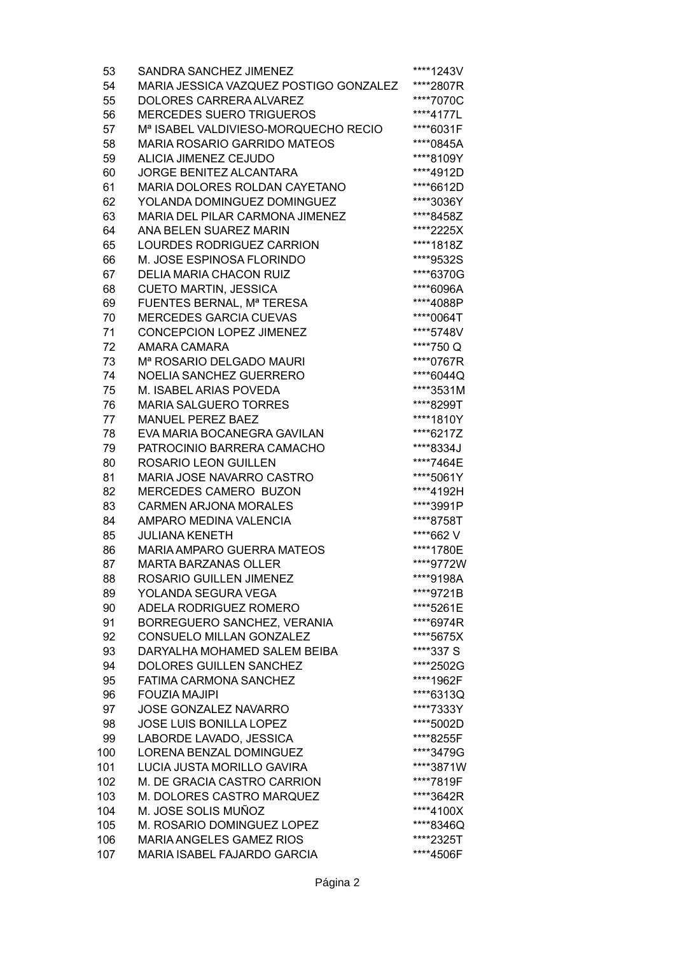| 53  | SANDRA SANCHEZ JIMENEZ                           | ****1243V |
|-----|--------------------------------------------------|-----------|
| 54  | MARIA JESSICA VAZQUEZ POSTIGO GONZALEZ           | ****2807R |
| 55  | DOLORES CARRERA ALVAREZ                          | ****7070C |
| 56  | <b>MERCEDES SUERO TRIGUEROS</b>                  | ****4177L |
| 57  | M <sup>a</sup> ISABEL VALDIVIESO-MORQUECHO RECIO | ****6031F |
| 58  | <b>MARIA ROSARIO GARRIDO MATEOS</b>              | ****0845A |
| 59  | <b>ALICIA JIMENEZ CEJUDO</b>                     | ****8109Y |
| 60  | <b>JORGE BENITEZ ALCANTARA</b>                   | ****4912D |
| 61  | MARIA DOLORES ROLDAN CAYETANO                    | ****6612D |
| 62  | YOLANDA DOMINGUEZ DOMINGUEZ                      | ****3036Y |
| 63  | MARIA DEL PILAR CARMONA JIMENEZ                  | ****8458Z |
| 64  | ANA BELEN SUAREZ MARIN                           | ****2225X |
| 65  | LOURDES RODRIGUEZ CARRION                        | ****1818Z |
| 66  | M. JOSE ESPINOSA FLORINDO                        | ****9532S |
| 67  | <b>DELIA MARIA CHACON RUIZ</b>                   | ****6370G |
| 68  | <b>CUETO MARTIN, JESSICA</b>                     | ****6096A |
| 69  | FUENTES BERNAL, Mª TERESA                        | ****4088P |
| 70  | <b>MERCEDES GARCIA CUEVAS</b>                    | ****0064T |
| 71  | <b>CONCEPCION LOPEZ JIMENEZ</b>                  | ****5748V |
| 72  | AMARA CAMARA                                     | ****750Q  |
| 73  | M <sup>a</sup> ROSARIO DELGADO MAURI             | ****0767R |
| 74  | NOELIA SANCHEZ GUERRERO                          | ****6044Q |
| 75  | M. ISABEL ARIAS POVEDA                           | ****3531M |
| 76  | <b>MARIA SALGUERO TORRES</b>                     | ****8299T |
| 77  | <b>MANUEL PEREZ BAEZ</b>                         | ****1810Y |
| 78  | EVA MARIA BOCANEGRA GAVILAN                      | ****6217Z |
| 79  | PATROCINIO BARRERA CAMACHO                       | ****8334J |
| 80  | ROSARIO LEON GUILLEN                             | ****7464E |
| 81  | MARIA JOSE NAVARRO CASTRO                        | ****5061Y |
| 82  | MERCEDES CAMERO BUZON                            | ****4192H |
| 83  | <b>CARMEN ARJONA MORALES</b>                     | ****3991P |
| 84  | AMPARO MEDINA VALENCIA                           | ****8758T |
| 85  | <b>JULIANA KENETH</b>                            | ****662 V |
| 86  | <b>MARIA AMPARO GUERRA MATEOS</b>                | ****1780E |
| 87  | <b>MARTA BARZANAS OLLER</b>                      | ****9772W |
| 88  | ROSARIO GUILLEN JIMENEZ                          | ****9198A |
| 89  | YOLANDA SEGURA VEGA                              | ****9721B |
| 90  | ADELA RODRIGUEZ ROMERO                           | ****5261E |
| 91  | BORREGUERO SANCHEZ, VERANIA                      | ****6974R |
| 92  | CONSUELO MILLAN GONZALEZ                         | ****5675X |
| 93  | DARYALHA MOHAMED SALEM BEIBA                     | ****337 S |
| 94  | DOLORES GUILLEN SANCHEZ                          | ****2502G |
| 95  | <b>FATIMA CARMONA SANCHEZ</b>                    | ****1962F |
| 96  | <b>FOUZIA MAJIPI</b>                             | ****6313Q |
| 97  | <b>JOSE GONZALEZ NAVARRO</b>                     | ****7333Y |
| 98  | JOSE LUIS BONILLA LOPEZ                          | ****5002D |
| 99  | LABORDE LAVADO, JESSICA                          | ****8255F |
| 100 | LORENA BENZAL DOMINGUEZ                          | ****3479G |
| 101 | LUCIA JUSTA MORILLO GAVIRA                       | ****3871W |
| 102 | M. DE GRACIA CASTRO CARRION                      | ****7819F |
| 103 | M. DOLORES CASTRO MARQUEZ                        | ****3642R |
| 104 | M. JOSE SOLIS MUÑOZ                              | ****4100X |
| 105 | M. ROSARIO DOMINGUEZ LOPEZ                       | ****8346Q |
| 106 | <b>MARIA ANGELES GAMEZ RIOS</b>                  | ****2325T |
| 107 | MARIA ISABEL FAJARDO GARCIA                      | ****4506F |
|     |                                                  |           |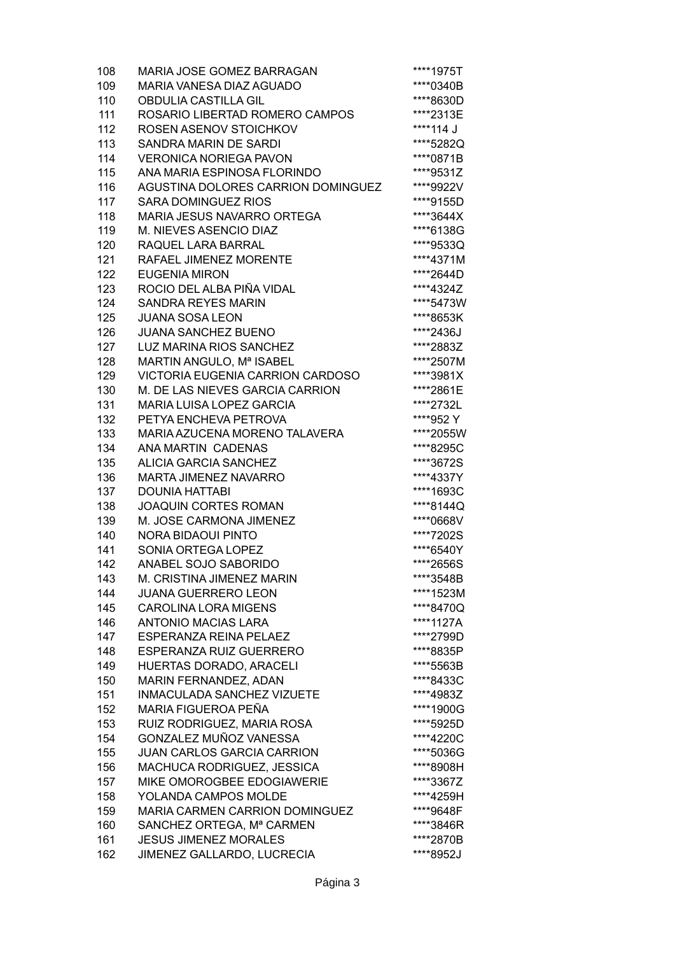| 108 | MARIA JOSE GOMEZ BARRAGAN          | ****1975T |
|-----|------------------------------------|-----------|
| 109 | MARIA VANESA DIAZ AGUADO           | ****0340B |
| 110 | <b>OBDULIA CASTILLA GIL</b>        | ****8630D |
| 111 | ROSARIO LIBERTAD ROMERO CAMPOS     | ****2313E |
| 112 | ROSEN ASENOV STOICHKOV             | ****114 J |
| 113 | SANDRA MARIN DE SARDI              | ****5282Q |
| 114 | <b>VERONICA NORIEGA PAVON</b>      | ****0871B |
| 115 | ANA MARIA ESPINOSA FLORINDO        | ****9531Z |
| 116 | AGUSTINA DOLORES CARRION DOMINGUEZ | ****9922V |
| 117 | <b>SARA DOMINGUEZ RIOS</b>         | ****9155D |
|     |                                    |           |
| 118 | MARIA JESUS NAVARRO ORTEGA         | ****3644X |
| 119 | M. NIEVES ASENCIO DIAZ             | ****6138G |
| 120 | RAQUEL LARA BARRAL                 | ****9533Q |
| 121 | RAFAEL JIMENEZ MORENTE             | ****4371M |
| 122 | <b>EUGENIA MIRON</b>               | ****2644D |
| 123 | ROCIO DEL ALBA PIÑA VIDAL          | ****4324Z |
| 124 | <b>SANDRA REYES MARIN</b>          | ****5473W |
| 125 | <b>JUANA SOSA LEON</b>             | ****8653K |
| 126 | <b>JUANA SANCHEZ BUENO</b>         | ****2436J |
| 127 | LUZ MARINA RIOS SANCHEZ            | ****2883Z |
| 128 | MARTIN ANGULO, Mª ISABEL           | ****2507M |
| 129 | VICTORIA EUGENIA CARRION CARDOSO   | ****3981X |
| 130 | M. DE LAS NIEVES GARCIA CARRION    | ****2861E |
| 131 | MARIA LUISA LOPEZ GARCIA           | ****2732L |
| 132 | PETYA ENCHEVA PETROVA              | ****952 Y |
| 133 | MARIA AZUCENA MORENO TALAVERA      | ****2055W |
| 134 | ANA MARTIN CADENAS                 | ****8295C |
| 135 | ALICIA GARCIA SANCHEZ              | ****3672S |
| 136 | MARTA JIMENEZ NAVARRO              | ****4337Y |
| 137 | <b>DOUNIA HATTABI</b>              | ****1693C |
| 138 | <b>JOAQUIN CORTES ROMAN</b>        | ****8144Q |
| 139 | M. JOSE CARMONA JIMENEZ            | ****0668V |
| 140 | <b>NORA BIDAOUI PINTO</b>          | ****7202S |
| 141 | SONIA ORTEGA LOPEZ                 | ****6540Y |
|     | ANABEL SOJO SABORIDO               | ****2656S |
| 142 |                                    |           |
| 143 | M. CRISTINA JIMENEZ MARIN          | ****3548B |
| 144 | <b>JUANA GUERRERO LEON</b>         | ****1523M |
| 145 | <b>CAROLINA LORA MIGENS</b>        | ****8470Q |
| 146 | <b>ANTONIO MACIAS LARA</b>         | ****1127A |
| 147 | ESPERANZA REINA PELAEZ             | ****2799D |
| 148 | ESPERANZA RUIZ GUERRERO            | ****8835P |
| 149 | HUERTAS DORADO, ARACELI            | ****5563B |
| 150 | MARIN FERNANDEZ, ADAN              | ****8433C |
| 151 | INMACULADA SANCHEZ VIZUETE         | ****4983Z |
| 152 | MARIA FIGUEROA PEÑA                | ****1900G |
| 153 | RUIZ RODRIGUEZ, MARIA ROSA         | ****5925D |
| 154 | GONZALEZ MUÑOZ VANESSA             | ****4220C |
| 155 | <b>JUAN CARLOS GARCIA CARRION</b>  | ****5036G |
| 156 | MACHUCA RODRIGUEZ, JESSICA         | ****8908H |
| 157 | MIKE OMOROGBEE EDOGIAWERIE         | ****3367Z |
| 158 | YOLANDA CAMPOS MOLDE               | ****4259H |
| 159 | MARIA CARMEN CARRION DOMINGUEZ     | ****9648F |
| 160 | SANCHEZ ORTEGA, Mª CARMEN          | ****3846R |
| 161 | <b>JESUS JIMENEZ MORALES</b>       | ****2870B |
| 162 | JIMENEZ GALLARDO, LUCRECIA         | ****8952J |
|     |                                    |           |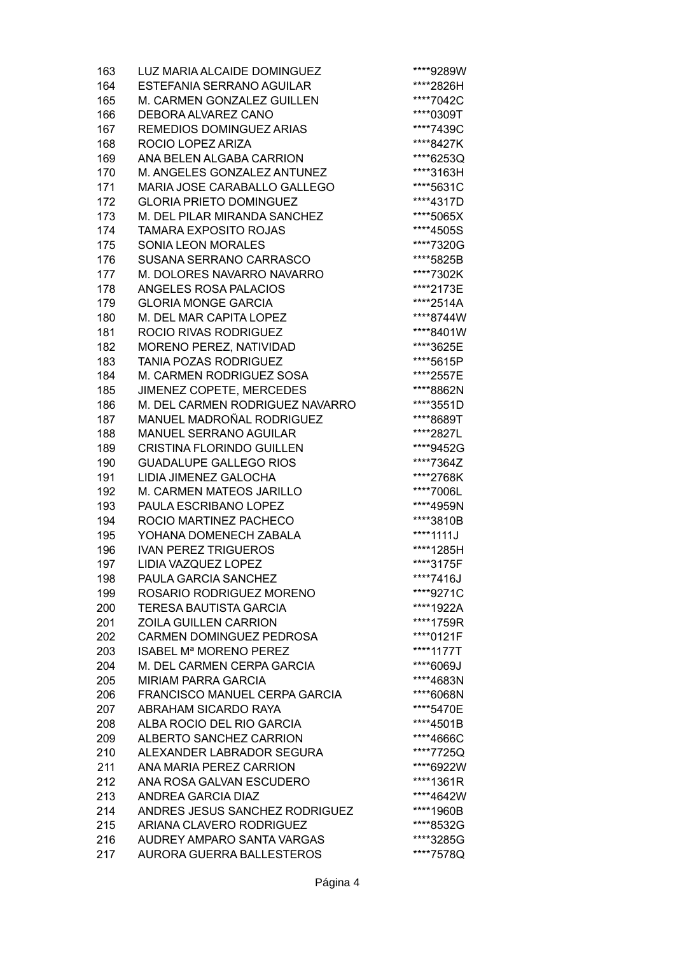| 163 | LUZ MARIA ALCAIDE DOMINGUEZ              | ****9289W |
|-----|------------------------------------------|-----------|
| 164 | ESTEFANIA SERRANO AGUILAR                | ****2826H |
| 165 | M. CARMEN GONZALEZ GUILLEN               | ****7042C |
| 166 | DEBORA ALVAREZ CANO                      | ****0309T |
| 167 | REMEDIOS DOMINGUEZ ARIAS                 | ****7439C |
| 168 | ROCIO LOPEZ ARIZA                        | ****8427K |
| 169 | ANA BELEN ALGABA CARRION                 | ****6253Q |
| 170 | M. ANGELES GONZALEZ ANTUNEZ              | ****3163H |
| 171 | MARIA JOSE CARABALLO GALLEGO             | ****5631C |
| 172 | <b>GLORIA PRIETO DOMINGUEZ</b>           | ****4317D |
| 173 | M. DEL PILAR MIRANDA SANCHEZ             | ****5065X |
| 174 | <b>TAMARA EXPOSITO ROJAS</b>             | ****4505S |
| 175 | <b>SONIA LEON MORALES</b>                | ****7320G |
| 176 | SUSANA SERRANO CARRASCO                  | ****5825B |
| 177 | M. DOLORES NAVARRO NAVARRO               | ****7302K |
| 178 | ANGELES ROSA PALACIOS                    | ****2173E |
| 179 | <b>GLORIA MONGE GARCIA</b>               | ****2514A |
| 180 | M. DEL MAR CAPITA LOPEZ                  | ****8744W |
| 181 | ROCIO RIVAS RODRIGUEZ                    | ****8401W |
| 182 | MORENO PEREZ, NATIVIDAD                  | ****3625E |
| 183 | <b>TANIA POZAS RODRIGUEZ</b>             | ****5615P |
| 184 | M. CARMEN RODRIGUEZ SOSA                 | ****2557E |
| 185 | JIMENEZ COPETE, MERCEDES                 | ****8862N |
| 186 | M. DEL CARMEN RODRIGUEZ NAVARRO          | ****3551D |
| 187 | MANUEL MADROÑAL RODRIGUEZ                |           |
|     | MANUEL SERRANO AGUILAR                   | ****8689T |
| 188 |                                          | ****2827L |
| 189 | <b>CRISTINA FLORINDO GUILLEN</b>         | ****9452G |
| 190 | <b>GUADALUPE GALLEGO RIOS</b>            | ****7364Z |
| 191 | LIDIA JIMENEZ GALOCHA                    | ****2768K |
| 192 | M. CARMEN MATEOS JARILLO                 | ****7006L |
| 193 | PAULA ESCRIBANO LOPEZ                    | ****4959N |
| 194 | ROCIO MARTINEZ PACHECO                   | ****3810B |
| 195 | YOHANA DOMENECH ZABALA                   | ****1111J |
| 196 | <b>IVAN PEREZ TRIGUEROS</b>              | ****1285H |
| 197 | LIDIA VAZQUEZ LOPEZ                      | ****3175F |
| 198 | PAULA GARCIA SANCHEZ                     | ****7416J |
| 199 | ROSARIO RODRIGUEZ MORENO                 | ****9271C |
| 200 | <b>TERESA BAUTISTA GARCIA</b>            | ****1922A |
| 201 | <b>ZOILA GUILLEN CARRION</b>             | ****1759R |
| 202 | <b>CARMEN DOMINGUEZ PEDROSA</b>          | ****0121F |
| 203 | <b>ISABEL M<sup>ª</sup> MORENO PEREZ</b> | ****1177T |
| 204 | M. DEL CARMEN CERPA GARCIA               | ****6069J |
| 205 | <b>MIRIAM PARRA GARCIA</b>               | ****4683N |
| 206 | <b>FRANCISCO MANUEL CERPA GARCIA</b>     | ****6068N |
| 207 | ABRAHAM SICARDO RAYA                     | ****5470E |
| 208 | ALBA ROCIO DEL RIO GARCIA                | ****4501B |
| 209 | ALBERTO SANCHEZ CARRION                  | ****4666C |
| 210 | ALEXANDER LABRADOR SEGURA                | ****7725Q |
| 211 | ANA MARIA PEREZ CARRION                  | ****6922W |
| 212 | ANA ROSA GALVAN ESCUDERO                 | ****1361R |
| 213 | <b>ANDREA GARCIA DIAZ</b>                | ****4642W |
| 214 | ANDRES JESUS SANCHEZ RODRIGUEZ           | ****1960B |
| 215 | ARIANA CLAVERO RODRIGUEZ                 | ****8532G |
| 216 | AUDREY AMPARO SANTA VARGAS               | ****3285G |
| 217 | <b>AURORA GUERRA BALLESTEROS</b>         | ****7578Q |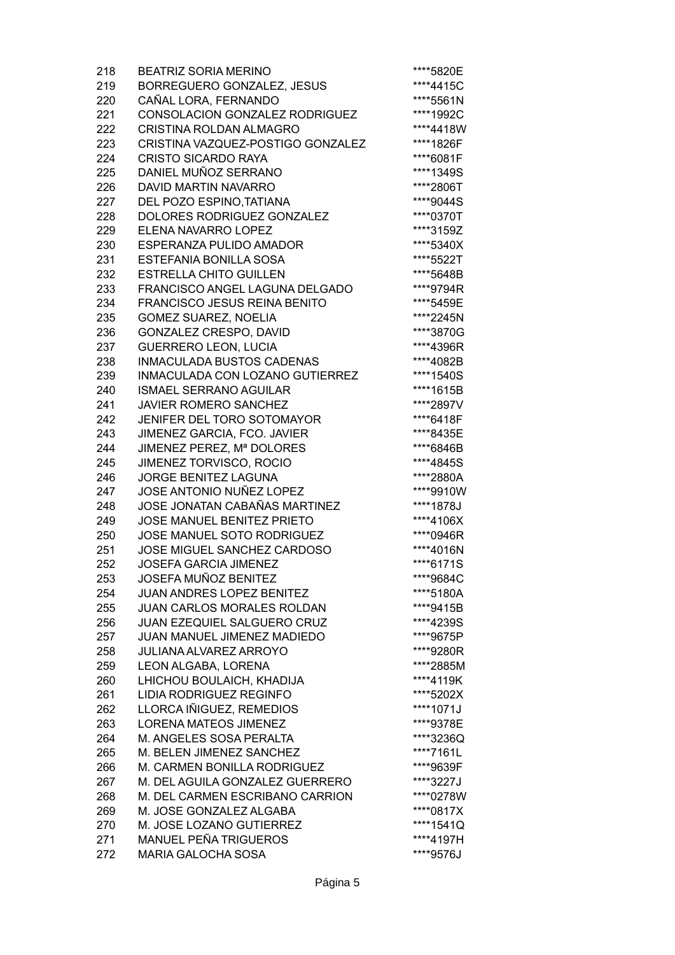| 218        | <b>BEATRIZ SORIA MERINO</b>         | ****5820E |
|------------|-------------------------------------|-----------|
| 219        | <b>BORREGUERO GONZALEZ, JESUS</b>   | ****4415C |
| 220        | CAÑAL LORA, FERNANDO                | ****5561N |
| 221        | CONSOLACION GONZALEZ RODRIGUEZ      | ****1992C |
| 222        | <b>CRISTINA ROLDAN ALMAGRO</b>      | ****4418W |
| 223        | CRISTINA VAZQUEZ-POSTIGO GONZALEZ   | ****1826F |
| 224        | <b>CRISTO SICARDO RAYA</b>          | ****6081F |
| 225        | DANIEL MUÑOZ SERRANO                | ****1349S |
| 226        | DAVID MARTIN NAVARRO                | ****2806T |
| 227        | DEL POZO ESPINO, TATIANA            | ****9044S |
| 228        | DOLORES RODRIGUEZ GONZALEZ          | ****0370T |
| 229        | ELENA NAVARRO LOPEZ                 | ****3159Z |
| 230        | ESPERANZA PULIDO AMADOR             | ****5340X |
| 231        | ESTEFANIA BONILLA SOSA              | ****5522T |
| 232        | <b>ESTRELLA CHITO GUILLEN</b>       | ****5648B |
| 233        | FRANCISCO ANGEL LAGUNA DELGADO      | ****9794R |
| 234        | <b>FRANCISCO JESUS REINA BENITO</b> | ****5459E |
| 235        | <b>GOMEZ SUAREZ, NOELIA</b>         | ****2245N |
| 236        | GONZALEZ CRESPO, DAVID              | ****3870G |
| 237        | <b>GUERRERO LEON, LUCIA</b>         | ****4396R |
| 238        | <b>INMACULADA BUSTOS CADENAS</b>    | ****4082B |
| 239        | INMACULADA CON LOZANO GUTIERREZ     | ****1540S |
| 240        | <b>ISMAEL SERRANO AGUILAR</b>       | ****1615B |
| 241        | <b>JAVIER ROMERO SANCHEZ</b>        | ****2897V |
| 242        | JENIFER DEL TORO SOTOMAYOR          | ****6418F |
| 243        | JIMENEZ GARCIA, FCO. JAVIER         | ****8435E |
| 244        | JIMENEZ PEREZ, Mª DOLORES           | ****6846B |
| 245        | JIMENEZ TORVISCO, ROCIO             | ****4845S |
| 246        | JORGE BENITEZ LAGUNA                | ****2880A |
| 247        | JOSE ANTONIO NUÑEZ LOPEZ            | ****9910W |
| 248        | JOSE JONATAN CABAÑAS MARTINEZ       | ****1878J |
| 249        | JOSE MANUEL BENITEZ PRIETO          | ****4106X |
| 250        | JOSE MANUEL SOTO RODRIGUEZ          | ****0946R |
| 251        | JOSE MIGUEL SANCHEZ CARDOSO         | ****4016N |
| 252        | <b>JOSEFA GARCIA JIMENEZ</b>        | ****6171S |
|            | JOSEFA MUÑOZ BENITEZ                |           |
| 253<br>254 | <b>JUAN ANDRES LOPEZ BENITEZ</b>    | ****9684C |
|            | <b>JUAN CARLOS MORALES ROLDAN</b>   | ****5180A |
| 255        |                                     | ****9415B |
| 256        | JUAN EZEQUIEL SALGUERO CRUZ         | ****4239S |
| 257        | JUAN MANUEL JIMENEZ MADIEDO         | ****9675P |
| 258        | <b>JULIANA ALVAREZ ARROYO</b>       | ****9280R |
| 259        | LEON ALGABA, LORENA                 | ****2885M |
| 260        | LHICHOU BOULAICH, KHADIJA           | ****4119K |
| 261        | <b>LIDIA RODRIGUEZ REGINFO</b>      | ****5202X |
| 262        | LLORCA IÑIGUEZ, REMEDIOS            | ****1071J |
| 263        | <b>LORENA MATEOS JIMENEZ</b>        | ****9378E |
| 264        | M. ANGELES SOSA PERALTA             | ****3236Q |
| 265        | M. BELEN JIMENEZ SANCHEZ            | ****7161L |
| 266        | M. CARMEN BONILLA RODRIGUEZ         | ****9639F |
| 267        | M. DEL AGUILA GONZALEZ GUERRERO     | ****3227J |
| 268        | M. DEL CARMEN ESCRIBANO CARRION     | ****0278W |
| 269        | M. JOSE GONZALEZ ALGABA             | ****0817X |
| 270        | M. JOSE LOZANO GUTIERREZ            | ****1541Q |
| 271        | <b>MANUEL PEÑA TRIGUEROS</b>        | ****4197H |
| 272        | <b>MARIA GALOCHA SOSA</b>           | ****9576J |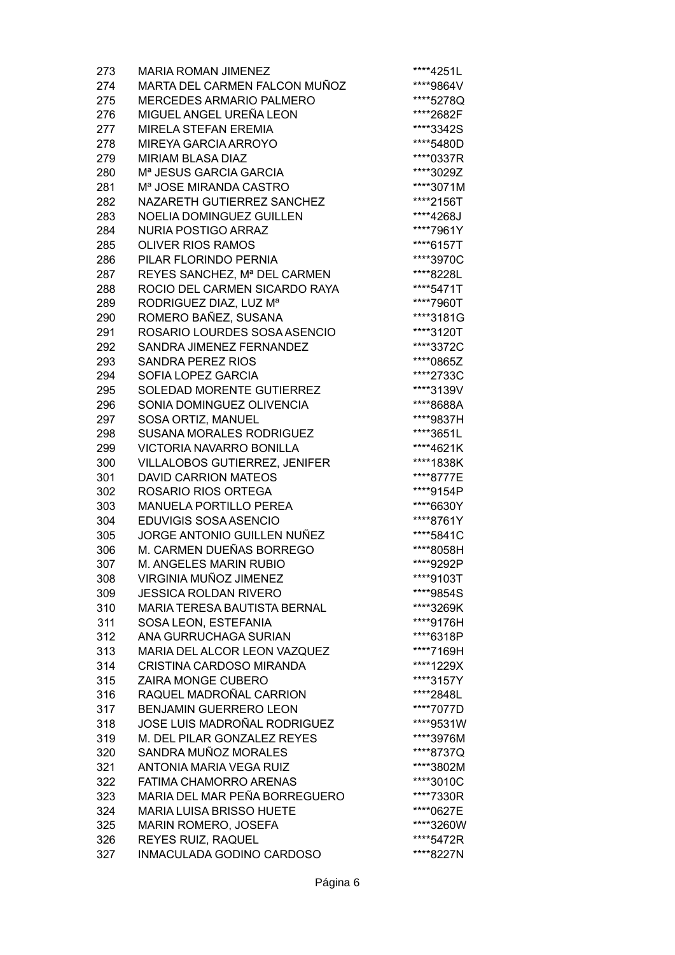| 273 | <b>MARIA ROMAN JIMENEZ</b>           | ****4251L |
|-----|--------------------------------------|-----------|
| 274 | MARTA DEL CARMEN FALCON MUÑOZ        | ****9864V |
| 275 | <b>MERCEDES ARMARIO PALMERO</b>      | ****5278Q |
| 276 | MIGUEL ANGEL UREÑA LEON              | ****2682F |
| 277 | <b>MIRELA STEFAN EREMIA</b>          | ****3342S |
| 278 | MIREYA GARCIA ARROYO                 | ****5480D |
| 279 | <b>MIRIAM BLASA DIAZ</b>             | ****0337R |
| 280 | M <sup>a</sup> JESUS GARCIA GARCIA   | ****3029Z |
| 281 | M <sup>a</sup> JOSE MIRANDA CASTRO   | ****3071M |
| 282 | NAZARETH GUTIERREZ SANCHEZ           | ****2156T |
| 283 | <b>NOELIA DOMINGUEZ GUILLEN</b>      | ****4268J |
| 284 | <b>NURIA POSTIGO ARRAZ</b>           | ****7961Y |
| 285 | <b>OLIVER RIOS RAMOS</b>             | ****6157T |
|     |                                      |           |
| 286 | PILAR FLORINDO PERNIA                | ****3970C |
| 287 | REYES SANCHEZ, Mª DEL CARMEN         | ****8228L |
| 288 | ROCIO DEL CARMEN SICARDO RAYA        | ****5471T |
| 289 | RODRIGUEZ DIAZ, LUZ Mª               | ****7960T |
| 290 | ROMERO BAÑEZ, SUSANA                 | ****3181G |
| 291 | ROSARIO LOURDES SOSA ASENCIO         | ****3120T |
| 292 | SANDRA JIMENEZ FERNANDEZ             | ****3372C |
| 293 | <b>SANDRA PEREZ RIOS</b>             | ****0865Z |
| 294 | SOFIA LOPEZ GARCIA                   | ****2733C |
| 295 | SOLEDAD MORENTE GUTIERREZ            | ****3139V |
| 296 | SONIA DOMINGUEZ OLIVENCIA            | ****8688A |
| 297 | SOSA ORTIZ, MANUEL                   | ****9837H |
| 298 | SUSANA MORALES RODRIGUEZ             | ****3651L |
| 299 | <b>VICTORIA NAVARRO BONILLA</b>      | ****4621K |
| 300 | <b>VILLALOBOS GUTIERREZ, JENIFER</b> | ****1838K |
| 301 | <b>DAVID CARRION MATEOS</b>          | ****8777E |
| 302 | ROSARIO RIOS ORTEGA                  | ****9154P |
| 303 | <b>MANUELA PORTILLO PEREA</b>        | ****6630Y |
| 304 | EDUVIGIS SOSA ASENCIO                | ****8761Y |
| 305 | JORGE ANTONIO GUILLEN NUÑEZ          | ****5841C |
| 306 | M. CARMEN DUEÑAS BORREGO             | ****8058H |
| 307 | <b>M. ANGELES MARIN RUBIO</b>        | ****9292P |
| 308 | VIRGINIA MUÑOZ JIMENEZ               | ****9103T |
| 309 | <b>JESSICA ROLDAN RIVERO</b>         | ****9854S |
| 310 | <b>MARIA TERESA BAUTISTA BERNAL</b>  | ****3269K |
| 311 | SOSA LEON, ESTEFANIA                 | ****9176H |
| 312 | ANA GURRUCHAGA SURIAN                | ****6318P |
| 313 | MARIA DEL ALCOR LEON VAZQUEZ         | ****7169H |
| 314 | <b>CRISTINA CARDOSO MIRANDA</b>      | ****1229X |
| 315 | ZAIRA MONGE CUBERO                   | ****3157Y |
| 316 | RAQUEL MADROÑAL CARRION              | ****2848L |
| 317 | <b>BENJAMIN GUERRERO LEON</b>        | ****7077D |
| 318 | JOSE LUIS MADROÑAL RODRIGUEZ         | ****9531W |
| 319 | M. DEL PILAR GONZALEZ REYES          | ****3976M |
| 320 | SANDRA MUÑOZ MORALES                 | ****8737Q |
| 321 | <b>ANTONIA MARIA VEGA RUIZ</b>       | ****3802M |
| 322 | FATIMA CHAMORRO ARENAS               | ****3010C |
| 323 | MARIA DEL MAR PEÑA BORREGUERO        | ****7330R |
| 324 | <b>MARIA LUISA BRISSO HUETE</b>      | ****0627E |
| 325 | MARIN ROMERO, JOSEFA                 | ****3260W |
| 326 | REYES RUIZ, RAQUEL                   | ****5472R |
| 327 | INMACULADA GODINO CARDOSO            | ****8227N |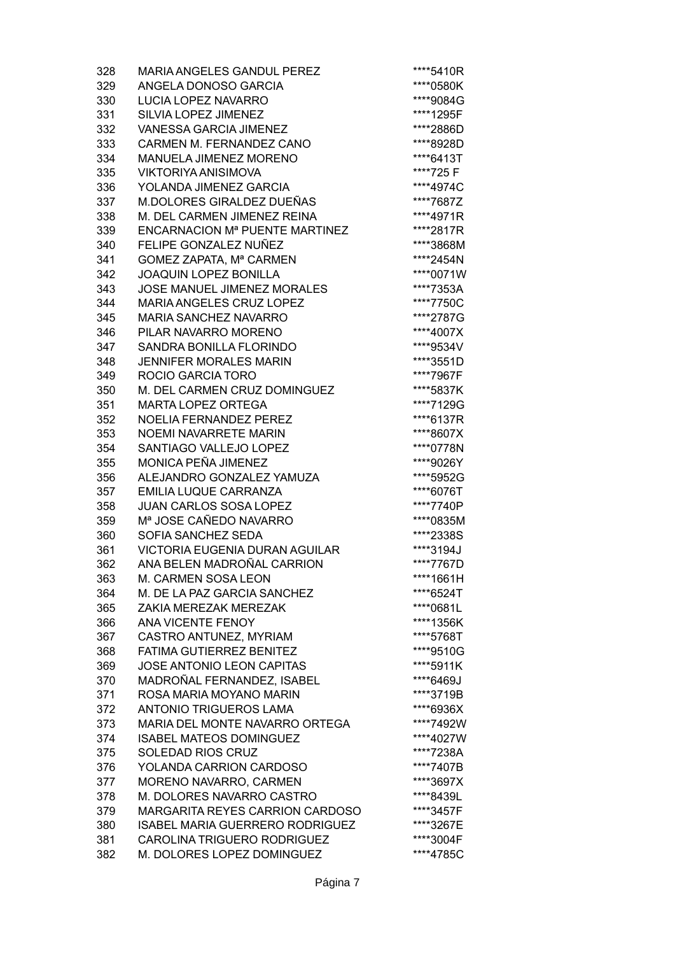| 328        | <b>MARIA ANGELES GANDUL PEREZ</b>                   | ****5410R |
|------------|-----------------------------------------------------|-----------|
| 329        | ANGELA DONOSO GARCIA                                | ****0580K |
| 330        | <b>LUCIA LOPEZ NAVARRO</b>                          | ****9084G |
| 331        | SILVIA LOPEZ JIMENEZ                                | ****1295F |
| 332        | <b>VANESSA GARCIA JIMENEZ</b>                       | ****2886D |
| 333        | CARMEN M. FERNANDEZ CANO                            | ****8928D |
| 334        | MANUELA JIMENEZ MORENO                              | ****6413T |
| 335        | <b>VIKTORIYA ANISIMOVA</b>                          | ****725 F |
| 336        | YOLANDA JIMENEZ GARCIA                              | ****4974C |
| 337        | M.DOLORES GIRALDEZ DUEÑAS                           | ****7687Z |
| 338        | M. DEL CARMEN JIMENEZ REINA                         | ****4971R |
| 339        | <b>ENCARNACION M<sup>ª</sup> PUENTE MARTINEZ</b>    | ****2817R |
| 340        | FELIPE GONZALEZ NUÑEZ                               | ****3868M |
| 341        | GOMEZ ZAPATA, Mª CARMEN                             | ****2454N |
| 342        | <b>JOAQUIN LOPEZ BONILLA</b>                        | ****0071W |
| 343        | JOSE MANUEL JIMENEZ MORALES                         | ****7353A |
| 344        | MARIA ANGELES CRUZ LOPEZ                            | ****7750C |
| 345        | <b>MARIA SANCHEZ NAVARRO</b>                        | ****2787G |
| 346        | PILAR NAVARRO MORENO                                | ****4007X |
| 347        | SANDRA BONILLA FLORINDO                             | ****9534V |
| 348        | <b>JENNIFER MORALES MARIN</b>                       | ****3551D |
| 349        | ROCIO GARCIA TORO                                   | ****7967F |
| 350        | M. DEL CARMEN CRUZ DOMINGUEZ                        | ****5837K |
| 351        | <b>MARTA LOPEZ ORTEGA</b>                           | ****7129G |
| 352        | NOELIA FERNANDEZ PEREZ                              | ****6137R |
| 353        | <b>NOEMI NAVARRETE MARIN</b>                        | ****8607X |
| 354        | SANTIAGO VALLEJO LOPEZ                              | ****0778N |
| 355        | MONICA PEÑA JIMENEZ                                 | ****9026Y |
| 356        | ALEJANDRO GONZALEZ YAMUZA                           | ****5952G |
| 357        | <b>EMILIA LUQUE CARRANZA</b>                        | ****6076T |
| 358        | <b>JUAN CARLOS SOSA LOPEZ</b>                       | ****7740P |
| 359        | Mª JOSE CAÑEDO NAVARRO                              | ****0835M |
| 360        | SOFIA SANCHEZ SEDA                                  | ****2338S |
| 361        | VICTORIA EUGENIA DURAN AGUILAR                      | ****3194J |
| 362        | ANA BELEN MADROÑAL CARRION                          | ****7767D |
| 363        | M. CARMEN SOSA LEON                                 | ****1661H |
| 364        | M. DE LA PAZ GARCIA SANCHEZ                         | ****6524T |
| 365        | ZAKIA MEREZAK MEREZAK                               | ****0681L |
| 366        | <b>ANA VICENTE FENOY</b>                            | ****1356K |
| 367        | CASTRO ANTUNEZ, MYRIAM                              | ****5768T |
| 368        | <b>FATIMA GUTIERREZ BENITEZ</b>                     | ****9510G |
| 369        | <b>JOSE ANTONIO LEON CAPITAS</b>                    | ****5911K |
| 370        | MADROÑAL FERNANDEZ, ISABEL                          | ****6469J |
| 371        | ROSA MARIA MOYANO MARIN                             | ****3719B |
| 372        | <b>ANTONIO TRIGUEROS LAMA</b>                       | ****6936X |
| 373        | MARIA DEL MONTE NAVARRO ORTEGA                      | ****7492W |
| 374        | <b>ISABEL MATEOS DOMINGUEZ</b>                      | ****4027W |
| 375        | <b>SOLEDAD RIOS CRUZ</b>                            | ****7238A |
| 376        | YOLANDA CARRION CARDOSO                             | ****7407B |
|            |                                                     | ****3697X |
| 377<br>378 | MORENO NAVARRO, CARMEN<br>M. DOLORES NAVARRO CASTRO | ****8439L |
| 379        | <b>MARGARITA REYES CARRION CARDOSO</b>              | ****3457F |
| 380        | <b>ISABEL MARIA GUERRERO RODRIGUEZ</b>              | ****3267E |
| 381        | CAROLINA TRIGUERO RODRIGUEZ                         | ****3004F |
|            | M. DOLORES LOPEZ DOMINGUEZ                          | ****4785C |
| 382        |                                                     |           |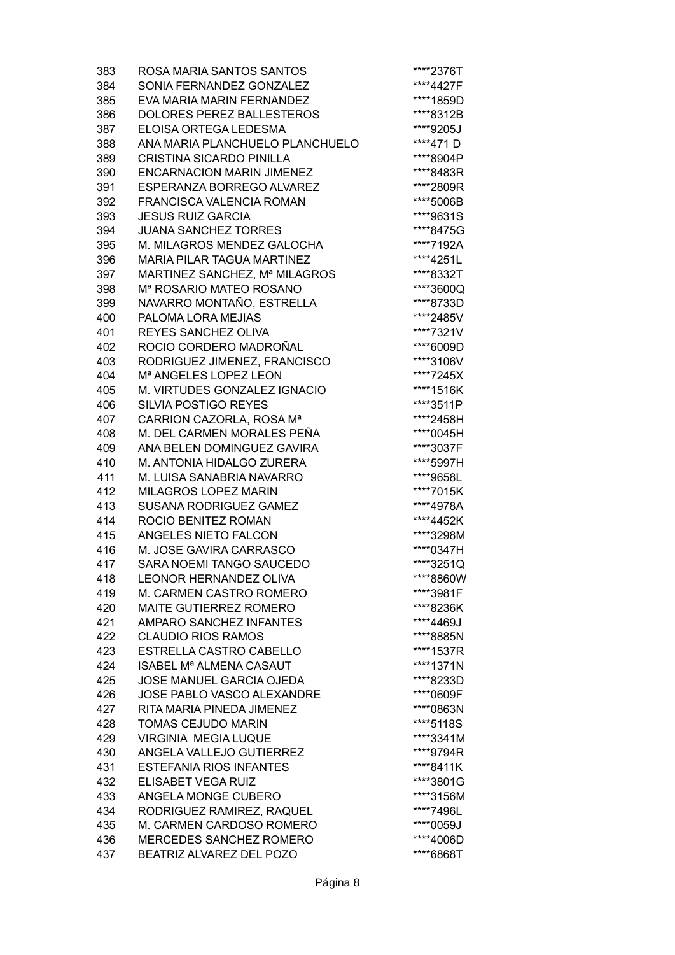| 383 | ROSA MARIA SANTOS SANTOS                  | ****2376T |
|-----|-------------------------------------------|-----------|
| 384 | SONIA FERNANDEZ GONZALEZ                  | ****4427F |
| 385 | EVA MARIA MARIN FERNANDEZ                 | ****1859D |
| 386 | DOLORES PEREZ BALLESTEROS                 | ****8312B |
| 387 | ELOISA ORTEGA LEDESMA                     | ****9205J |
| 388 | ANA MARIA PLANCHUELO PLANCHUELO           | ****471D  |
| 389 | <b>CRISTINA SICARDO PINILLA</b>           | ****8904P |
| 390 | <b>ENCARNACION MARIN JIMENEZ</b>          | ****8483R |
| 391 | <b>ESPERANZA BORREGO ALVAREZ</b>          | ****2809R |
| 392 | FRANCISCA VALENCIA ROMAN                  | ****5006B |
| 393 | <b>JESUS RUIZ GARCIA</b>                  | ****9631S |
| 394 | <b>JUANA SANCHEZ TORRES</b>               | ****8475G |
| 395 | M. MILAGROS MENDEZ GALOCHA                | ****7192A |
| 396 | <b>MARIA PILAR TAGUA MARTINEZ</b>         | ****4251L |
| 397 | MARTINEZ SANCHEZ, Mª MILAGROS             | ****8332T |
| 398 | M <sup>ª</sup> ROSARIO MATEO ROSANO       | ****3600Q |
| 399 | NAVARRO MONTAÑO, ESTRELLA                 | ****8733D |
| 400 | PALOMA LORA MEJIAS                        | ****2485V |
| 401 | <b>REYES SANCHEZ OLIVA</b>                | ****7321V |
| 402 | ROCIO CORDERO MADROÑAL                    | ****6009D |
| 403 | RODRIGUEZ JIMENEZ, FRANCISCO              | ****3106V |
| 404 | M <sup>a</sup> ANGELES LOPEZ LEON         | ****7245X |
| 405 | M. VIRTUDES GONZALEZ IGNACIO              | ****1516K |
| 406 | <b>SILVIA POSTIGO REYES</b>               | ****3511P |
| 407 | CARRION CAZORLA, ROSA Mª                  | ****2458H |
| 408 | M. DEL CARMEN MORALES PEÑA                | ****0045H |
| 409 | ANA BELEN DOMINGUEZ GAVIRA                | ****3037F |
| 410 | M. ANTONIA HIDALGO ZURERA                 | ****5997H |
| 411 | M. LUISA SANABRIA NAVARRO                 | ****9658L |
| 412 | MILAGROS LOPEZ MARIN                      | ****7015K |
| 413 | <b>SUSANA RODRIGUEZ GAMEZ</b>             | ****4978A |
| 414 | ROCIO BENITEZ ROMAN                       | ****4452K |
| 415 | ANGELES NIETO FALCON                      | ****3298M |
| 416 | M. JOSE GAVIRA CARRASCO                   | ****0347H |
| 417 | SARA NOEMI TANGO SAUCEDO                  | ****3251Q |
| 418 | <b>LEONOR HERNANDEZ OLIVA</b>             | ****8860W |
| 419 | M. CARMEN CASTRO ROMERO                   | ****3981F |
|     |                                           |           |
| 420 | <b>MAITE GUTIERREZ ROMERO</b>             | ****8236K |
| 421 | AMPARO SANCHEZ INFANTES                   | ****4469J |
| 422 | <b>CLAUDIO RIOS RAMOS</b>                 | ****8885N |
| 423 | ESTRELLA CASTRO CABELLO                   | ****1537R |
| 424 | <b>ISABEL M<sup>a</sup> ALMENA CASAUT</b> | ****1371N |
| 425 | JOSE MANUEL GARCIA OJEDA                  | ****8233D |
| 426 | JOSE PABLO VASCO ALEXANDRE                | ****0609F |
| 427 | RITA MARIA PINEDA JIMENEZ                 | ****0863N |
| 428 | <b>TOMAS CEJUDO MARIN</b>                 | ****5118S |
| 429 | <b>VIRGINIA MEGIA LUQUE</b>               | ****3341M |
| 430 | ANGELA VALLEJO GUTIERREZ                  | ****9794R |
| 431 | <b>ESTEFANIA RIOS INFANTES</b>            | ****8411K |
| 432 | ELISABET VEGA RUIZ                        | ****3801G |
| 433 | ANGELA MONGE CUBERO                       | ****3156M |
| 434 | RODRIGUEZ RAMIREZ, RAQUEL                 | ****7496L |
| 435 | M. CARMEN CARDOSO ROMERO                  | ****0059J |
| 436 | MERCEDES SANCHEZ ROMERO                   | ****4006D |
| 437 | BEATRIZ ALVAREZ DEL POZO                  | ****6868T |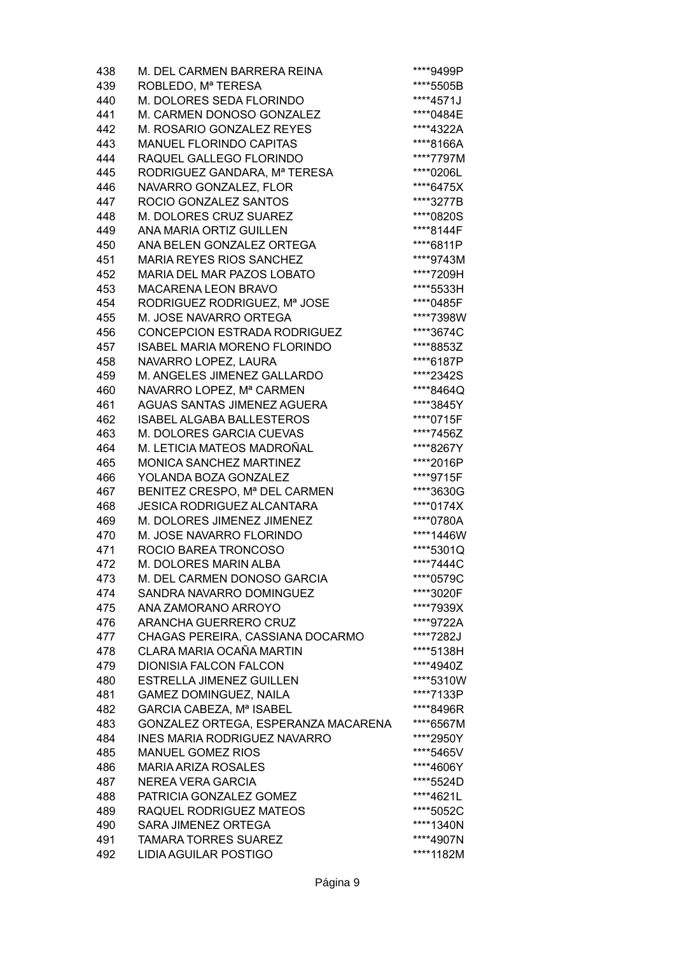| 438 | M. DEL CARMEN BARRERA REINA         | ****9499P |
|-----|-------------------------------------|-----------|
| 439 | ROBLEDO, Mª TERESA                  | ****5505B |
| 440 | M. DOLORES SEDA FLORINDO            | ****4571J |
| 441 | M. CARMEN DONOSO GONZALEZ           | ****0484E |
| 442 | M. ROSARIO GONZALEZ REYES           | ****4322A |
| 443 | MANUEL FLORINDO CAPITAS             | ****8166A |
| 444 | RAQUEL GALLEGO FLORINDO             | ****7797M |
| 445 | RODRIGUEZ GANDARA, Mª TERESA        | ****0206L |
| 446 | NAVARRO GONZALEZ, FLOR              | ****6475X |
| 447 | ROCIO GONZALEZ SANTOS               | ****3277B |
| 448 | M. DOLORES CRUZ SUAREZ              | ****0820S |
| 449 | ANA MARIA ORTIZ GUILLEN             | ****8144F |
| 450 | ANA BELEN GONZALEZ ORTEGA           | ****6811P |
| 451 | <b>MARIA REYES RIOS SANCHEZ</b>     | ****9743M |
| 452 | MARIA DEL MAR PAZOS LOBATO          | ****7209H |
| 453 | <b>MACARENA LEON BRAVO</b>          | ****5533H |
| 454 | RODRIGUEZ RODRIGUEZ, Mª JOSE        | ****0485F |
| 455 | M. JOSE NAVARRO ORTEGA              | ****7398W |
| 456 | CONCEPCION ESTRADA RODRIGUEZ        | ****3674C |
|     |                                     |           |
| 457 | <b>ISABEL MARIA MORENO FLORINDO</b> | ****8853Z |
| 458 | NAVARRO LOPEZ, LAURA                | ****6187P |
| 459 | M. ANGELES JIMENEZ GALLARDO         | ****2342S |
| 460 | NAVARRO LOPEZ, Mª CARMEN            | ****8464Q |
| 461 | AGUAS SANTAS JIMENEZ AGUERA         | ****3845Y |
| 462 | <b>ISABEL ALGABA BALLESTEROS</b>    | ****0715F |
| 463 | M. DOLORES GARCIA CUEVAS            | ****7456Z |
| 464 | M. LETICIA MATEOS MADROÑAL          | ****8267Y |
| 465 | <b>MONICA SANCHEZ MARTINEZ</b>      | ****2016P |
| 466 | YOLANDA BOZA GONZALEZ               | ****9715F |
| 467 | BENITEZ CRESPO, Mª DEL CARMEN       | ****3630G |
| 468 | <b>JESICA RODRIGUEZ ALCANTARA</b>   | ****0174X |
| 469 | M. DOLORES JIMENEZ JIMENEZ          | ****0780A |
| 470 | M. JOSE NAVARRO FLORINDO            | ****1446W |
| 471 | ROCIO BAREA TRONCOSO                | ****5301Q |
| 472 | M. DOLORES MARIN ALBA               | ****7444C |
| 473 | M. DEL CARMEN DONOSO GARCIA         | ****0579C |
| 474 | SANDRA NAVARRO DOMINGUEZ            | ****3020F |
| 475 | ANA ZAMORANO ARROYO                 | ****7939X |
| 476 | ARANCHA GUERRERO CRUZ               | ****9722A |
| 477 | CHAGAS PEREIRA, CASSIANA DOCARMO    | ****7282J |
| 478 | CLARA MARIA OCAÑA MARTIN            | ****5138H |
| 479 | <b>DIONISIA FALCON FALCON</b>       | ****4940Z |
| 480 | <b>ESTRELLA JIMENEZ GUILLEN</b>     | ****5310W |
| 481 | <b>GAMEZ DOMINGUEZ, NAILA</b>       | ****7133P |
| 482 | GARCIA CABEZA, Mª ISABEL            | ****8496R |
| 483 | GONZALEZ ORTEGA, ESPERANZA MACARENA | ****6567M |
| 484 | <b>INES MARIA RODRIGUEZ NAVARRO</b> | ****2950Y |
| 485 | <b>MANUEL GOMEZ RIOS</b>            | ****5465V |
| 486 | <b>MARIA ARIZA ROSALES</b>          | ****4606Y |
| 487 | <b>NEREA VERA GARCIA</b>            | ****5524D |
| 488 | PATRICIA GONZALEZ GOMEZ             | ****4621L |
| 489 | RAQUEL RODRIGUEZ MATEOS             | ****5052C |
| 490 | SARA JIMENEZ ORTEGA                 | ****1340N |
| 491 | <b>TAMARA TORRES SUAREZ</b>         | ****4907N |
| 492 | <b>LIDIA AGUILAR POSTIGO</b>        | ****1182M |
|     |                                     |           |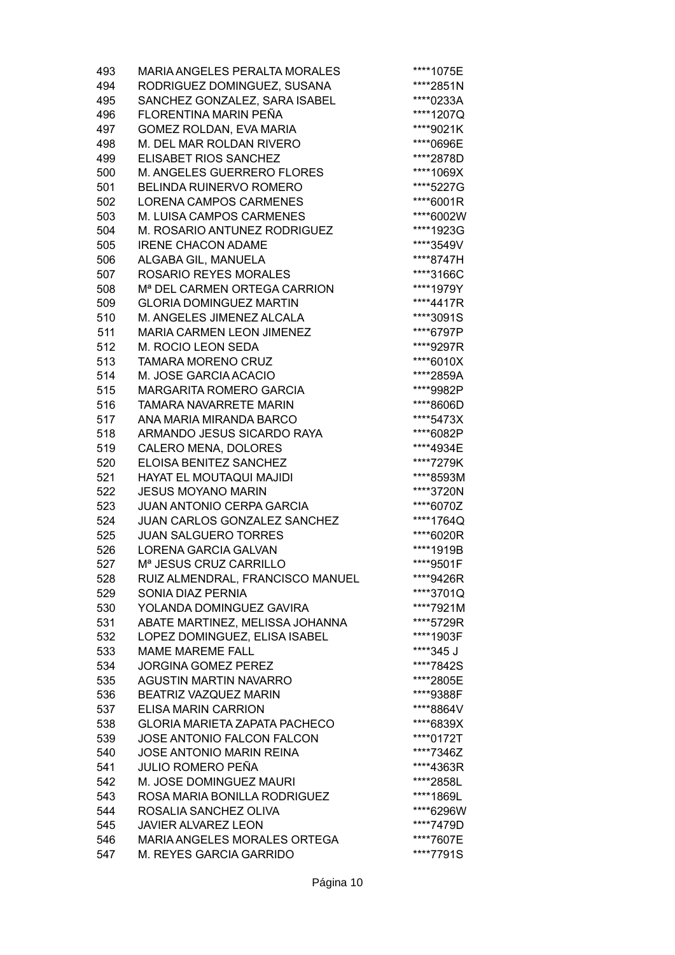| 493 | <b>MARIA ANGELES PERALTA MORALES</b>     | ****1075E |
|-----|------------------------------------------|-----------|
| 494 | RODRIGUEZ DOMINGUEZ, SUSANA              | ****2851N |
| 495 | SANCHEZ GONZALEZ, SARA ISABEL            | ****0233A |
| 496 | FLORENTINA MARIN PEÑA                    | ****1207Q |
| 497 | GOMEZ ROLDAN, EVA MARIA                  | ****9021K |
| 498 | M. DEL MAR ROLDAN RIVERO                 | ****0696E |
| 499 | <b>ELISABET RIOS SANCHEZ</b>             | ****2878D |
| 500 | M. ANGELES GUERRERO FLORES               | ****1069X |
| 501 | <b>BELINDA RUINERVO ROMERO</b>           | ****5227G |
|     | <b>LORENA CAMPOS CARMENES</b>            | ****6001R |
| 502 |                                          |           |
| 503 | M. LUISA CAMPOS CARMENES                 | ****6002W |
| 504 | M. ROSARIO ANTUNEZ RODRIGUEZ             | ****1923G |
| 505 | <b>IRENE CHACON ADAME</b>                | ****3549V |
| 506 | ALGABA GIL, MANUELA                      | ****8747H |
| 507 | <b>ROSARIO REYES MORALES</b>             | ****3166C |
| 508 | M <sup>a</sup> DEL CARMEN ORTEGA CARRION | ****1979Y |
| 509 | <b>GLORIA DOMINGUEZ MARTIN</b>           | ****4417R |
| 510 | M. ANGELES JIMENEZ ALCALA                | ****3091S |
| 511 | <b>MARIA CARMEN LEON JIMENEZ</b>         | ****6797P |
| 512 | M. ROCIO LEON SEDA                       | ****9297R |
| 513 | <b>TAMARA MORENO CRUZ</b>                | ****6010X |
| 514 | M. JOSE GARCIA ACACIO                    | ****2859A |
| 515 | <b>MARGARITA ROMERO GARCIA</b>           | ****9982P |
| 516 | <b>TAMARA NAVARRETE MARIN</b>            | ****8606D |
| 517 | ANA MARIA MIRANDA BARCO                  | ****5473X |
| 518 | ARMANDO JESUS SICARDO RAYA               | ****6082P |
| 519 | CALERO MENA, DOLORES                     | ****4934E |
| 520 | ELOISA BENITEZ SANCHEZ                   | ****7279K |
| 521 | HAYAT EL MOUTAQUI MAJIDI                 | ****8593M |
| 522 | <b>JESUS MOYANO MARIN</b>                | ****3720N |
| 523 | <b>JUAN ANTONIO CERPA GARCIA</b>         | ****6070Z |
| 524 | JUAN CARLOS GONZALEZ SANCHEZ             | ****1764Q |
| 525 | <b>JUAN SALGUERO TORRES</b>              | ****6020R |
| 526 | <b>LORENA GARCIA GALVAN</b>              | ****1919B |
| 527 | M <sup>a</sup> JESUS CRUZ CARRILLO       | ****9501F |
| 528 | RUIZ ALMENDRAL, FRANCISCO MANUEL         | ****9426R |
| 529 | SONIA DIAZ PERNIA                        | ****3701Q |
| 530 | YOLANDA DOMINGUEZ GAVIRA                 | ****7921M |
| 531 | ABATE MARTINEZ, MELISSA JOHANNA          | ****5729R |
| 532 | LOPEZ DOMINGUEZ, ELISA ISABEL            | ****1903F |
| 533 | <b>MAME MAREME FALL</b>                  | ****345 J |
| 534 | <b>JORGINA GOMEZ PEREZ</b>               | ****7842S |
| 535 | <b>AGUSTIN MARTIN NAVARRO</b>            | ****2805E |
| 536 | BEATRIZ VAZQUEZ MARIN                    | ****9388F |
| 537 | <b>ELISA MARIN CARRION</b>               | ****8864V |
| 538 | <b>GLORIA MARIETA ZAPATA PACHECO</b>     | ****6839X |
| 539 | <b>JOSE ANTONIO FALCON FALCON</b>        | ****0172T |
| 540 | JOSE ANTONIO MARIN REINA                 | ****7346Z |
| 541 | <b>JULIO ROMERO PEÑA</b>                 | ****4363R |
| 542 | M. JOSE DOMINGUEZ MAURI                  | ****2858L |
| 543 | ROSA MARIA BONILLA RODRIGUEZ             | ****1869L |
| 544 | ROSALIA SANCHEZ OLIVA                    | ****6296W |
| 545 | <b>JAVIER ALVAREZ LEON</b>               | ****7479D |
| 546 | MARIA ANGELES MORALES ORTEGA             | ****7607E |
| 547 | M. REYES GARCIA GARRIDO                  | ****7791S |
|     |                                          |           |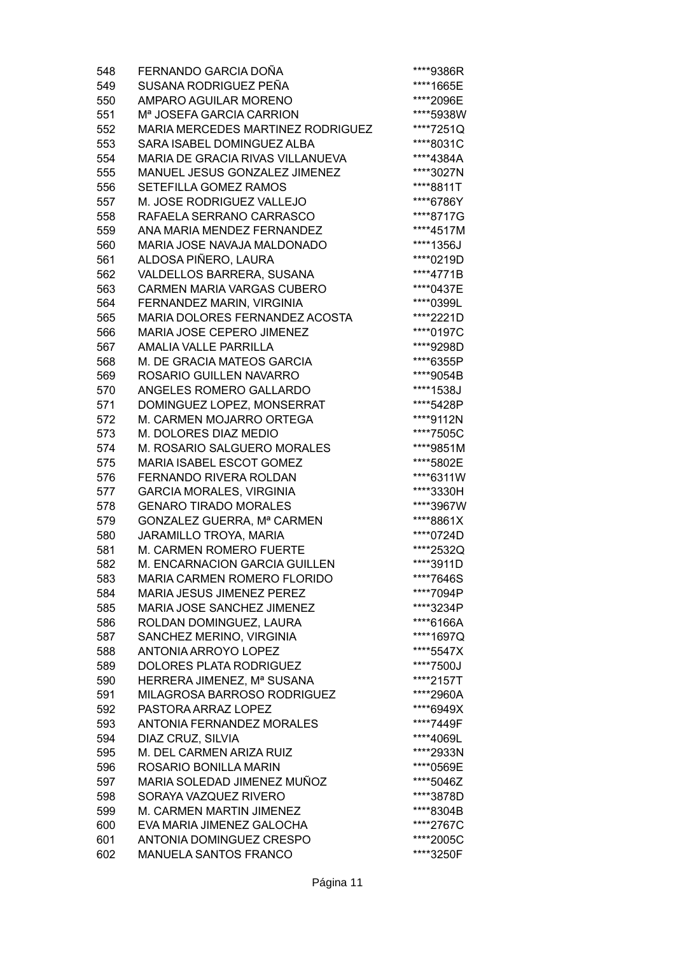| 548        | FERNANDO GARCIA DOÑA                                            | ****9386R |
|------------|-----------------------------------------------------------------|-----------|
| 549        | SUSANA RODRIGUEZ PEÑA                                           | ****1665E |
| 550        | <b>AMPARO AGUILAR MORENO</b>                                    | ****2096E |
| 551        | Mª JOSEFA GARCIA CARRION                                        | ****5938W |
| 552        | MARIA MERCEDES MARTINEZ RODRIGUEZ                               | ****7251Q |
| 553        | SARA ISABEL DOMINGUEZ ALBA                                      | ****8031C |
| 554        | MARIA DE GRACIA RIVAS VILLANUEVA                                | ****4384A |
| 555        | MANUEL JESUS GONZALEZ JIMENEZ                                   | ****3027N |
| 556        | SETEFILLA GOMEZ RAMOS                                           | ****8811T |
| 557        | M. JOSE RODRIGUEZ VALLEJO                                       | ****6786Y |
| 558        | RAFAELA SERRANO CARRASCO                                        | ****8717G |
| 559        | ANA MARIA MENDEZ FERNANDEZ                                      | ****4517M |
| 560        | MARIA JOSE NAVAJA MALDONADO                                     | ****1356J |
| 561        | ALDOSA PIÑERO, LAURA                                            | ****0219D |
| 562        | VALDELLOS BARRERA, SUSANA                                       | ****4771B |
| 563        | CARMEN MARIA VARGAS CUBERO                                      | ****0437E |
| 564        | FERNANDEZ MARIN, VIRGINIA                                       | ****0399L |
| 565        | <b>MARIA DOLORES FERNANDEZ ACOSTA</b>                           | ****2221D |
| 566        | MARIA JOSE CEPERO JIMENEZ                                       | ****0197C |
| 567        | <b>AMALIA VALLE PARRILLA</b>                                    | ****9298D |
| 568        | M. DE GRACIA MATEOS GARCIA                                      | ****6355P |
| 569        | ROSARIO GUILLEN NAVARRO                                         | ****9054B |
| 570        | ANGELES ROMERO GALLARDO                                         | ****1538J |
| 571        | DOMINGUEZ LOPEZ, MONSERRAT                                      | ****5428P |
| 572        | M. CARMEN MOJARRO ORTEGA                                        | ****9112N |
| 573        | M. DOLORES DIAZ MEDIO                                           | ****7505C |
| 574        | M. ROSARIO SALGUERO MORALES                                     | ****9851M |
| 575        | MARIA ISABEL ESCOT GOMEZ                                        | ****5802E |
| 576        | <b>FERNANDO RIVERA ROLDAN</b>                                   | ****6311W |
| 577        | <b>GARCIA MORALES, VIRGINIA</b>                                 | ****3330H |
| 578        | <b>GENARO TIRADO MORALES</b>                                    | ****3967W |
| 579        | GONZALEZ GUERRA, Mª CARMEN                                      | ****8861X |
| 580        | JARAMILLO TROYA, MARIA                                          | ****0724D |
| 581        | M. CARMEN ROMERO FUERTE                                         | ****2532Q |
| 582        | M. ENCARNACION GARCIA GUILLEN                                   | ****3911D |
|            |                                                                 |           |
| 583<br>584 | MARIA CARMEN ROMERO FLORIDO<br><b>MARIA JESUS JIMENEZ PEREZ</b> | ****7646S |
|            |                                                                 | ****7094P |
| 585        | MARIA JOSE SANCHEZ JIMENEZ                                      | ****3234P |
| 586        | ROLDAN DOMINGUEZ, LAURA                                         | ****6166A |
| 587        | SANCHEZ MERINO, VIRGINIA                                        | ****1697Q |
| 588        | <b>ANTONIA ARROYO LOPEZ</b>                                     | ****5547X |
| 589        | <b>DOLORES PLATA RODRIGUEZ</b>                                  | ****7500J |
| 590        | HERRERA JIMENEZ, Mª SUSANA                                      | ****2157T |
| 591        | MILAGROSA BARROSO RODRIGUEZ                                     | ****2960A |
| 592        | PASTORA ARRAZ LOPEZ                                             | ****6949X |
| 593        | <b>ANTONIA FERNANDEZ MORALES</b>                                | ****7449F |
| 594        | DIAZ CRUZ, SILVIA                                               | ****4069L |
| 595        | M. DEL CARMEN ARIZA RUIZ                                        | ****2933N |
| 596        | ROSARIO BONILLA MARIN                                           | ****0569E |
| 597        | MARIA SOLEDAD JIMENEZ MUÑOZ                                     | ****5046Z |
| 598        | SORAYA VAZQUEZ RIVERO                                           | ****3878D |
| 599        | M. CARMEN MARTIN JIMENEZ                                        | ****8304B |
| 600        | EVA MARIA JIMENEZ GALOCHA                                       | ****2767C |
| 601        | ANTONIA DOMINGUEZ CRESPO                                        | ****2005C |
| 602        | MANUELA SANTOS FRANCO                                           | ****3250F |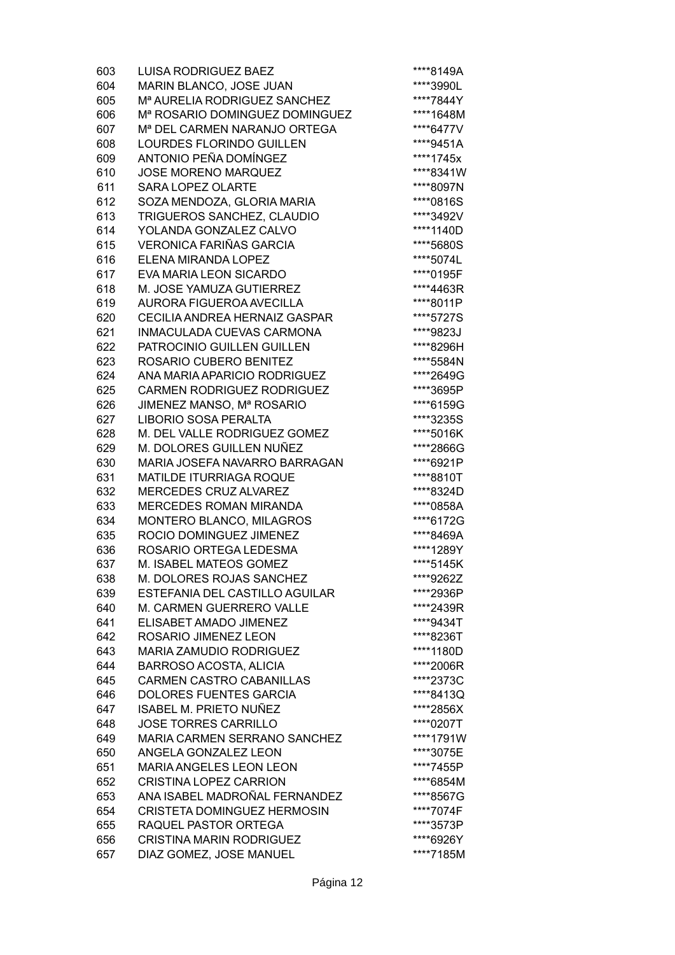| 603 | <b>LUISA RODRIGUEZ BAEZ</b>                | ****8149A |
|-----|--------------------------------------------|-----------|
| 604 | MARIN BLANCO, JOSE JUAN                    | ****3990L |
| 605 | M <sup>a</sup> AURELIA RODRIGUEZ SANCHEZ   | ****7844Y |
| 606 | M <sup>a</sup> ROSARIO DOMINGUEZ DOMINGUEZ | ****1648M |
| 607 | M <sup>a</sup> DEL CARMEN NARANJO ORTEGA   | ****6477V |
| 608 | LOURDES FLORINDO GUILLEN                   | ****9451A |
| 609 | ANTONIO PEÑA DOMÍNGEZ                      | ****1745x |
| 610 | <b>JOSE MORENO MARQUEZ</b>                 | ****8341W |
| 611 | <b>SARA LOPEZ OLARTE</b>                   | ****8097N |
| 612 | SOZA MENDOZA, GLORIA MARIA                 | ****0816S |
| 613 | TRIGUEROS SANCHEZ, CLAUDIO                 | ****3492V |
| 614 | YOLANDA GONZALEZ CALVO                     | ****1140D |
| 615 | <b>VERONICA FARIÑAS GARCIA</b>             | ****5680S |
| 616 | ELENA MIRANDA LOPEZ                        | ****5074L |
| 617 | EVA MARIA LEON SICARDO                     | ****0195F |
| 618 | M. JOSE YAMUZA GUTIERREZ                   | ****4463R |
| 619 | AURORA FIGUEROA AVECILLA                   | ****8011P |
| 620 | CECILIA ANDREA HERNAIZ GASPAR              | ****5727S |
| 621 | INMACULADA CUEVAS CARMONA                  | ****9823J |
| 622 | PATROCINIO GUILLEN GUILLEN                 | ****8296H |
| 623 | ROSARIO CUBERO BENITEZ                     | ****5584N |
| 624 | ANA MARIA APARICIO RODRIGUEZ               | ****2649G |
| 625 | CARMEN RODRIGUEZ RODRIGUEZ                 | ****3695P |
| 626 | JIMENEZ MANSO, Mª ROSARIO                  | ****6159G |
| 627 | <b>LIBORIO SOSA PERALTA</b>                | ****3235S |
| 628 | M. DEL VALLE RODRIGUEZ GOMEZ               | ****5016K |
| 629 | M. DOLORES GUILLEN NUÑEZ                   | ****2866G |
| 630 | MARIA JOSEFA NAVARRO BARRAGAN              | ****6921P |
| 631 | <b>MATILDE ITURRIAGA ROQUE</b>             | ****8810T |
| 632 | <b>MERCEDES CRUZ ALVAREZ</b>               | ****8324D |
| 633 | <b>MERCEDES ROMAN MIRANDA</b>              | ****0858A |
| 634 | MONTERO BLANCO, MILAGROS                   | ****6172G |
| 635 | ROCIO DOMINGUEZ JIMENEZ                    | ****8469A |
| 636 | ROSARIO ORTEGA LEDESMA                     | ****1289Y |
| 637 | M. ISABEL MATEOS GOMEZ                     | ****5145K |
| 638 | M. DOLORES ROJAS SANCHEZ                   | ****9262Z |
| 639 | ESTEFANIA DEL CASTILLO AGUILAR             | ****2936P |
| 640 | M. CARMEN GUERRERO VALLE                   | ****2439R |
| 641 | ELISABET AMADO JIMENEZ                     | ****9434T |
| 642 | ROSARIO JIMENEZ LEON                       | ****8236T |
| 643 | <b>MARIA ZAMUDIO RODRIGUEZ</b>             | ****1180D |
| 644 | <b>BARROSO ACOSTA, ALICIA</b>              | ****2006R |
| 645 | <b>CARMEN CASTRO CABANILLAS</b>            | ****2373C |
| 646 | <b>DOLORES FUENTES GARCIA</b>              | ****8413Q |
| 647 | <b>ISABEL M. PRIETO NUÑEZ</b>              | ****2856X |
| 648 | <b>JOSE TORRES CARRILLO</b>                | ****0207T |
| 649 | <b>MARIA CARMEN SERRANO SANCHEZ</b>        | ****1791W |
| 650 | ANGELA GONZALEZ LEON                       | ****3075E |
| 651 | <b>MARIA ANGELES LEON LEON</b>             | ****7455P |
| 652 | <b>CRISTINA LOPEZ CARRION</b>              | ****6854M |
| 653 | ANA ISABEL MADROÑAL FERNANDEZ              | ****8567G |
| 654 | <b>CRISTETA DOMINGUEZ HERMOSIN</b>         | ****7074F |
| 655 | RAQUEL PASTOR ORTEGA                       | ****3573P |
| 656 | <b>CRISTINA MARIN RODRIGUEZ</b>            | ****6926Y |
| 657 | DIAZ GOMEZ, JOSE MANUEL                    | ****7185M |
|     |                                            |           |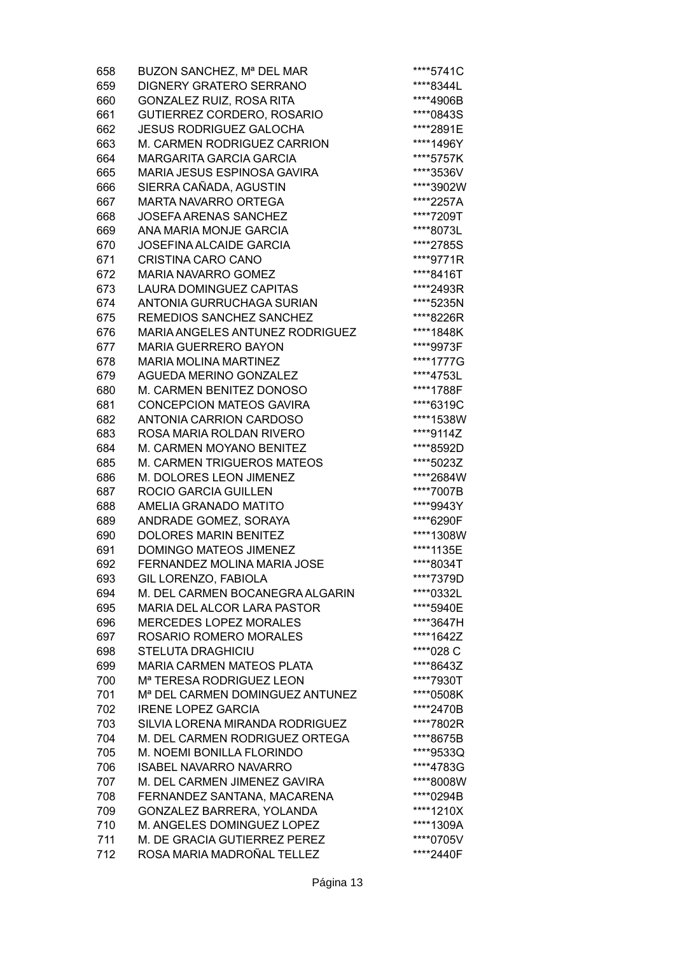| 658 | BUZON SANCHEZ, Mª DEL MAR                             | ****5741C |
|-----|-------------------------------------------------------|-----------|
| 659 | <b>DIGNERY GRATERO SERRANO</b>                        | ****8344L |
| 660 | GONZALEZ RUIZ, ROSA RITA                              | ****4906B |
| 661 | GUTIERREZ CORDERO, ROSARIO                            | ****0843S |
| 662 | <b>JESUS RODRIGUEZ GALOCHA</b>                        | ****2891E |
| 663 | M. CARMEN RODRIGUEZ CARRION                           | ****1496Y |
| 664 | <b>MARGARITA GARCIA GARCIA</b>                        | ****5757K |
| 665 | MARIA JESUS ESPINOSA GAVIRA                           | ****3536V |
| 666 | SIERRA CAÑADA, AGUSTIN                                | ****3902W |
| 667 | <b>MARTA NAVARRO ORTEGA</b>                           | ****2257A |
| 668 | <b>JOSEFA ARENAS SANCHEZ</b>                          | ****7209T |
| 669 | ANA MARIA MONJE GARCIA                                | ****8073L |
| 670 | <b>JOSEFINA ALCAIDE GARCIA</b>                        | ****2785S |
| 671 | CRISTINA CARO CANO                                    | ****9771R |
| 672 | <b>MARIA NAVARRO GOMEZ</b>                            | ****8416T |
| 673 | <b>LAURA DOMINGUEZ CAPITAS</b>                        | ****2493R |
|     |                                                       | ****5235N |
| 674 | ANTONIA GURRUCHAGA SURIAN<br>REMEDIOS SANCHEZ SANCHEZ |           |
| 675 |                                                       | ****8226R |
| 676 | <b>MARIA ANGELES ANTUNEZ RODRIGUEZ</b>                | ****1848K |
| 677 | <b>MARIA GUERRERO BAYON</b>                           | ****9973F |
| 678 | <b>MARIA MOLINA MARTINEZ</b>                          | ****1777G |
| 679 | <b>AGUEDA MERINO GONZALEZ</b>                         | ****4753L |
| 680 | M. CARMEN BENITEZ DONOSO                              | ****1788F |
| 681 | <b>CONCEPCION MATEOS GAVIRA</b>                       | ****6319C |
| 682 | <b>ANTONIA CARRION CARDOSO</b>                        | ****1538W |
| 683 | ROSA MARIA ROLDAN RIVERO                              | ****9114Z |
| 684 | M. CARMEN MOYANO BENITEZ                              | ****8592D |
| 685 | M. CARMEN TRIGUEROS MATEOS                            | ****5023Z |
| 686 | M. DOLORES LEON JIMENEZ                               | ****2684W |
| 687 | ROCIO GARCIA GUILLEN                                  | ****7007B |
| 688 | AMELIA GRANADO MATITO                                 | ****9943Y |
| 689 | ANDRADE GOMEZ, SORAYA                                 | ****6290F |
| 690 | <b>DOLORES MARIN BENITEZ</b>                          | ****1308W |
| 691 | DOMINGO MATEOS JIMENEZ                                | ****1135E |
| 692 | FERNANDEZ MOLINA MARIA JOSE                           | ****8034T |
| 693 | GIL LORENZO, FABIOLA                                  | ****7379D |
| 694 | M. DEL CARMEN BOCANEGRA ALGARIN                       | ****0332L |
| 695 | <b>MARIA DEL ALCOR LARA PASTOR</b>                    | ****5940E |
| 696 | <b>MERCEDES LOPEZ MORALES</b>                         | ****3647H |
| 697 | ROSARIO ROMERO MORALES                                | ****1642Z |
| 698 | <b>STELUTA DRAGHICIU</b>                              | ****028 C |
| 699 | <b>MARIA CARMEN MATEOS PLATA</b>                      | ****8643Z |
| 700 | M <sup>a</sup> TERESA RODRIGUEZ LEON                  | ****7930T |
| 701 | M <sup>a</sup> DEL CARMEN DOMINGUEZ ANTUNEZ           | ****0508K |
| 702 | <b>IRENE LOPEZ GARCIA</b>                             | ****2470B |
| 703 | SILVIA LORENA MIRANDA RODRIGUEZ                       | ****7802R |
| 704 | M. DEL CARMEN RODRIGUEZ ORTEGA                        | ****8675B |
| 705 | M. NOEMI BONILLA FLORINDO                             | ****9533Q |
| 706 | <b>ISABEL NAVARRO NAVARRO</b>                         | ****4783G |
| 707 | M. DEL CARMEN JIMENEZ GAVIRA                          | ****8008W |
| 708 | FERNANDEZ SANTANA, MACARENA                           | ****0294B |
| 709 | GONZALEZ BARRERA, YOLANDA                             | ****1210X |
| 710 | M. ANGELES DOMINGUEZ LOPEZ                            | ****1309A |
| 711 | M. DE GRACIA GUTIERREZ PEREZ                          | ****0705V |
| 712 | ROSA MARIA MADROÑAL TELLEZ                            | ****2440F |
|     |                                                       |           |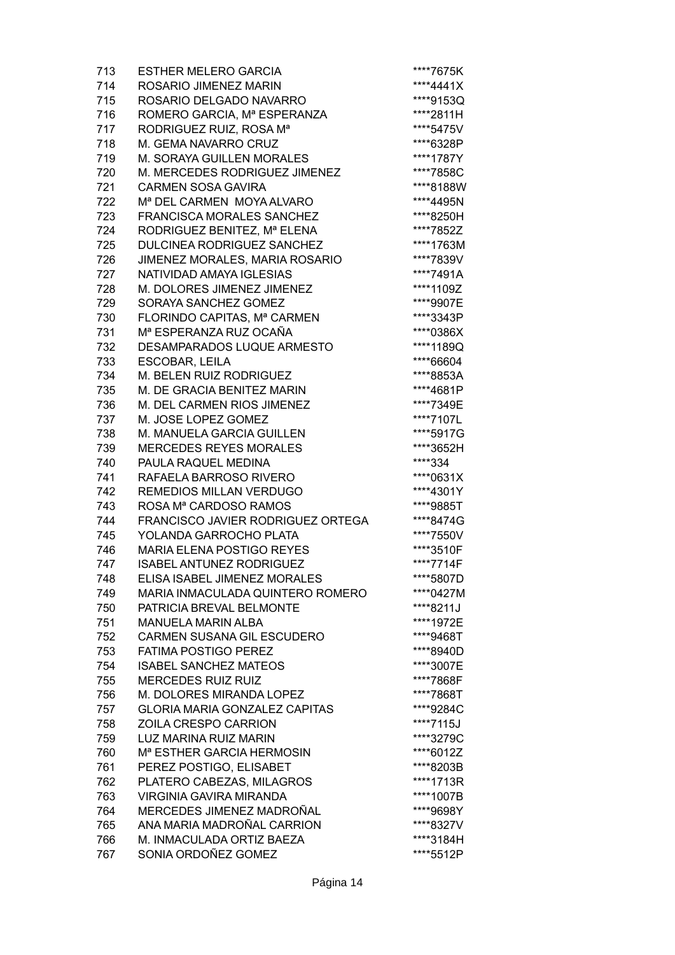| 713 | <b>ESTHER MELERO GARCIA</b>                          | ****7675K              |
|-----|------------------------------------------------------|------------------------|
| 714 | ROSARIO JIMENEZ MARIN                                | ****4441X              |
| 715 | ROSARIO DELGADO NAVARRO                              | ****9153Q              |
| 716 | ROMERO GARCIA, Mª ESPERANZA                          | ****2811H              |
| 717 | RODRIGUEZ RUIZ, ROSA Mª                              | ****5475V              |
| 718 | M. GEMA NAVARRO CRUZ                                 | ****6328P              |
| 719 | M. SORAYA GUILLEN MORALES                            | ****1787Y              |
| 720 | M. MERCEDES RODRIGUEZ JIMENEZ                        | ****7858C              |
| 721 | <b>CARMEN SOSA GAVIRA</b>                            | ****8188W              |
| 722 | M <sup>a</sup> DEL CARMEN MOYA ALVARO                | ****4495N              |
| 723 | <b>FRANCISCA MORALES SANCHEZ</b>                     | ****8250H              |
| 724 | RODRIGUEZ BENITEZ, Mª ELENA                          | ****7852Z              |
| 725 | DULCINEA RODRIGUEZ SANCHEZ                           | ****1763M              |
| 726 | JIMENEZ MORALES, MARIA ROSARIO                       | ****7839V              |
| 727 | NATIVIDAD AMAYA IGLESIAS                             | ****7491A              |
| 728 | M. DOLORES JIMENEZ JIMENEZ                           | ****1109Z              |
| 729 | SORAYA SANCHEZ GOMEZ                                 | ****9907E              |
| 730 | FLORINDO CAPITAS, Mª CARMEN                          | ****3343P              |
| 731 | Mª ESPERANZA RUZ OCAÑA                               | ****0386X              |
| 732 | DESAMPARADOS LUQUE ARMESTO                           | ****1189Q              |
| 733 | <b>ESCOBAR, LEILA</b>                                | ****66604              |
| 734 | M. BELEN RUIZ RODRIGUEZ                              | ****8853A              |
| 735 | M. DE GRACIA BENITEZ MARIN                           | ****4681P              |
| 736 | M. DEL CARMEN RIOS JIMENEZ                           | ****7349E              |
| 737 | M. JOSE LOPEZ GOMEZ                                  | ****7107L              |
| 738 | M. MANUELA GARCIA GUILLEN                            | ****5917G              |
| 739 | <b>MERCEDES REYES MORALES</b>                        | ****3652H              |
| 740 | PAULA RAQUEL MEDINA                                  | ****334                |
| 741 | RAFAELA BARROSO RIVERO                               | ****0631X              |
| 742 | REMEDIOS MILLAN VERDUGO                              | ****4301Y              |
| 743 | ROSA Mª CARDOSO RAMOS                                | ****9885T              |
| 744 | FRANCISCO JAVIER RODRIGUEZ ORTEGA                    | ****8474G              |
| 745 | YOLANDA GARROCHO PLATA                               | ****7550V              |
| 746 | <b>MARIA ELENA POSTIGO REYES</b>                     | ****3510F              |
| 747 | <b>ISABEL ANTUNEZ RODRIGUEZ</b>                      | ****7714F              |
| 748 | ELISA ISABEL JIMENEZ MORALES                         | ****5807D              |
| 749 | MARIA INMACULADA QUINTERO ROMERO                     | ****0427M              |
| 750 | PATRICIA BREVAL BELMONTE                             | ****8211J              |
| 751 | <b>MANUELA MARIN ALBA</b>                            | ****1972E              |
| 752 | <b>CARMEN SUSANA GIL ESCUDERO</b>                    | ****9468T              |
| 753 | <b>FATIMA POSTIGO PEREZ</b>                          | ****8940D              |
| 754 | <b>ISABEL SANCHEZ MATEOS</b>                         | ****3007E              |
| 755 | <b>MERCEDES RUIZ RUIZ</b>                            | ****7868F              |
| 756 | M. DOLORES MIRANDA LOPEZ                             | ****7868T              |
| 757 | <b>GLORIA MARIA GONZALEZ CAPITAS</b>                 | ****9284C              |
| 758 | ZOILA CRESPO CARRION                                 | ****7115J              |
| 759 | LUZ MARINA RUIZ MARIN                                | ****3279C              |
| 760 | M <sup>a</sup> ESTHER GARCIA HERMOSIN                | ****6012Z              |
| 761 |                                                      | ****8203B              |
| 762 | PEREZ POSTIGO, ELISABET<br>PLATERO CABEZAS, MILAGROS | ****1713R              |
| 763 | <b>VIRGINIA GAVIRA MIRANDA</b>                       | ****1007B              |
| 764 | MERCEDES JIMENEZ MADROÑAL                            |                        |
| 765 | ANA MARIA MADROÑAL CARRION                           | ****9698Y<br>****8327V |
| 766 | M. INMACULADA ORTIZ BAEZA                            | ****3184H              |
| 767 | SONIA ORDOÑEZ GOMEZ                                  | ****5512P              |
|     |                                                      |                        |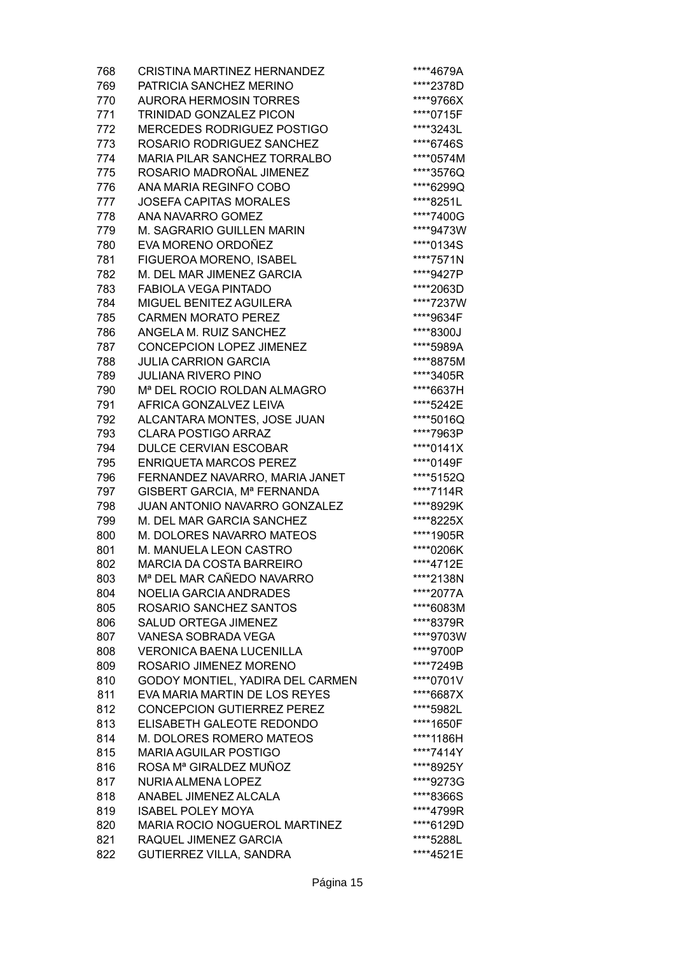| 768 | <b>CRISTINA MARTINEZ HERNANDEZ</b>                        | ****4679A |
|-----|-----------------------------------------------------------|-----------|
| 769 | PATRICIA SANCHEZ MERINO                                   | ****2378D |
| 770 | <b>AURORA HERMOSIN TORRES</b>                             | ****9766X |
| 771 | TRINIDAD GONZALEZ PICON                                   | ****0715F |
| 772 | <b>MERCEDES RODRIGUEZ POSTIGO</b>                         | ****3243L |
| 773 | ROSARIO RODRIGUEZ SANCHEZ                                 | ****6746S |
| 774 | <b>MARIA PILAR SANCHEZ TORRALBO</b>                       | ****0574M |
| 775 | ROSARIO MADROÑAL JIMENEZ                                  | ****3576Q |
| 776 | ANA MARIA REGINFO COBO                                    | ****6299Q |
| 777 | <b>JOSEFA CAPITAS MORALES</b>                             | ****8251L |
| 778 | <b>ANA NAVARRO GOMEZ</b>                                  | ****7400G |
| 779 | M. SAGRARIO GUILLEN MARIN                                 | ****9473W |
| 780 | EVA MORENO ORDOÑEZ                                        | ****0134S |
| 781 | FIGUEROA MORENO, ISABEL                                   | ****7571N |
| 782 | M. DEL MAR JIMENEZ GARCIA                                 | ****9427P |
| 783 | <b>FABIOLA VEGA PINTADO</b>                               | ****2063D |
| 784 | <b>MIGUEL BENITEZ AGUILERA</b>                            | ****7237W |
| 785 | <b>CARMEN MORATO PEREZ</b>                                | ****9634F |
| 786 | ANGELA M. RUIZ SANCHEZ                                    | ****8300J |
| 787 | <b>CONCEPCION LOPEZ JIMENEZ</b>                           | ****5989A |
| 788 | <b>JULIA CARRION GARCIA</b>                               | ****8875M |
| 789 | <b>JULIANA RIVERO PINO</b>                                | ****3405R |
| 790 | M <sup>a</sup> DEL ROCIO ROLDAN ALMAGRO                   | ****6637H |
| 791 | AFRICA GONZALVEZ LEIVA                                    | ****5242E |
| 792 | ALCANTARA MONTES, JOSE JUAN                               | ****5016Q |
| 793 | <b>CLARA POSTIGO ARRAZ</b>                                | ****7963P |
| 794 | <b>DULCE CERVIAN ESCOBAR</b>                              | ****0141X |
| 795 | <b>ENRIQUETA MARCOS PEREZ</b>                             | ****0149F |
| 796 | FERNANDEZ NAVARRO, MARIA JANET                            | ****5152Q |
| 797 | GISBERT GARCIA, Mª FERNANDA                               | ****7114R |
| 798 | JUAN ANTONIO NAVARRO GONZALEZ                             | ****8929K |
| 799 | M. DEL MAR GARCIA SANCHEZ                                 | ****8225X |
| 800 | M. DOLORES NAVARRO MATEOS                                 | ****1905R |
| 801 | M. MANUELA LEON CASTRO                                    | ****0206K |
| 802 | <b>MARCIA DA COSTA BARREIRO</b>                           | ****4712E |
| 803 | Mª DEL MAR CAÑEDO NAVARRO                                 | ****2138N |
| 804 | <b>NOELIA GARCIA ANDRADES</b>                             | ****2077A |
| 805 | ROSARIO SANCHEZ SANTOS                                    | ****6083M |
|     | <b>SALUD ORTEGA JIMENEZ</b>                               |           |
| 806 |                                                           | ****8379R |
| 807 | VANESA SOBRADA VEGA                                       | ****9703W |
| 808 | <b>VERONICA BAENA LUCENILLA</b><br>ROSARIO JIMENEZ MORENO | ****9700P |
| 809 |                                                           | ****7249B |
| 810 | GODOY MONTIEL, YADIRA DEL CARMEN                          | ****0701V |
| 811 | EVA MARIA MARTIN DE LOS REYES                             | ****6687X |
| 812 | <b>CONCEPCION GUTIERREZ PEREZ</b>                         | ****5982L |
| 813 | ELISABETH GALEOTE REDONDO                                 | ****1650F |
| 814 | M. DOLORES ROMERO MATEOS                                  | ****1186H |
| 815 | <b>MARIA AGUILAR POSTIGO</b>                              | ****7414Y |
| 816 | ROSA Mª GIRALDEZ MUÑOZ                                    | ****8925Y |
| 817 | <b>NURIA ALMENA LOPEZ</b>                                 | ****9273G |
| 818 | ANABEL JIMENEZ ALCALA                                     | ****8366S |
| 819 | <b>ISABEL POLEY MOYA</b>                                  | ****4799R |
| 820 | MARIA ROCIO NOGUEROL MARTINEZ                             | ****6129D |
| 821 | RAQUEL JIMENEZ GARCIA                                     | ****5288L |
| 822 | GUTIERREZ VILLA, SANDRA                                   | ****4521E |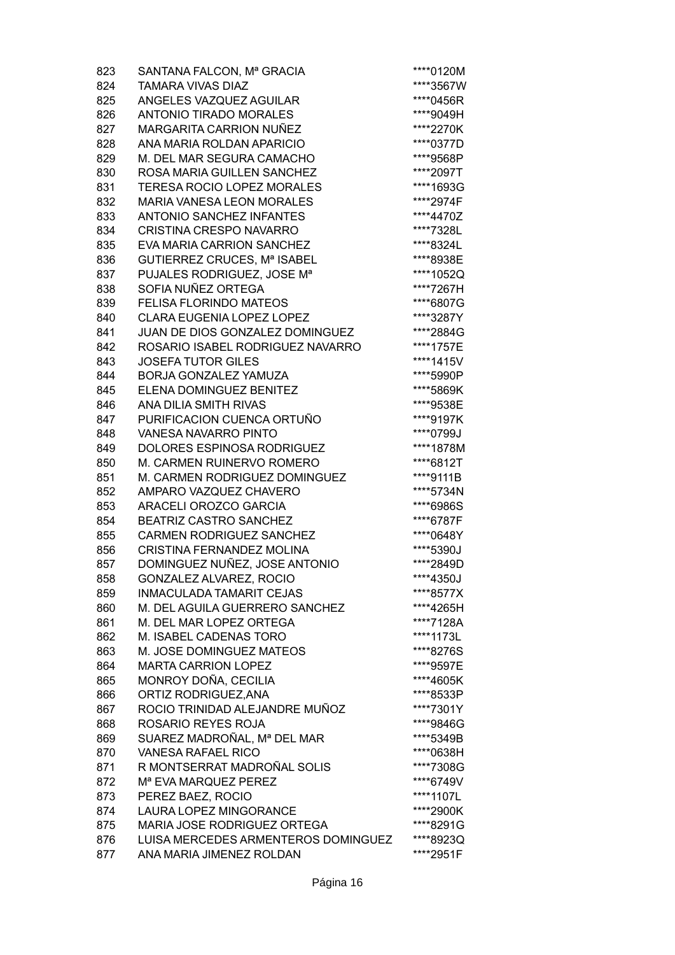| 823 | SANTANA FALCON, Mª GRACIA           | ****0120M |
|-----|-------------------------------------|-----------|
| 824 | <b>TAMARA VIVAS DIAZ</b>            | ****3567W |
| 825 | ANGELES VAZQUEZ AGUILAR             | ****0456R |
| 826 | <b>ANTONIO TIRADO MORALES</b>       | ****9049H |
| 827 | <b>MARGARITA CARRION NUÑEZ</b>      | ****2270K |
| 828 | ANA MARIA ROLDAN APARICIO           | ****0377D |
| 829 | M. DEL MAR SEGURA CAMACHO           | ****9568P |
| 830 | ROSA MARIA GUILLEN SANCHEZ          | ****2097T |
| 831 | TERESA ROCIO LOPEZ MORALES          | ****1693G |
| 832 | <b>MARIA VANESA LEON MORALES</b>    | ****2974F |
|     | <b>ANTONIO SANCHEZ INFANTES</b>     |           |
| 833 |                                     | ****4470Z |
| 834 | <b>CRISTINA CRESPO NAVARRO</b>      | ****7328L |
| 835 | EVA MARIA CARRION SANCHEZ           | ****8324L |
| 836 | GUTIERREZ CRUCES, Mª ISABEL         | ****8938E |
| 837 | PUJALES RODRIGUEZ, JOSE Mª          | ****1052Q |
| 838 | SOFIA NUÑEZ ORTEGA                  | ****7267H |
| 839 | <b>FELISA FLORINDO MATEOS</b>       | ****6807G |
| 840 | <b>CLARA EUGENIA LOPEZ LOPEZ</b>    | ****3287Y |
| 841 | JUAN DE DIOS GONZALEZ DOMINGUEZ     | ****2884G |
| 842 | ROSARIO ISABEL RODRIGUEZ NAVARRO    | ****1757E |
| 843 | <b>JOSEFA TUTOR GILES</b>           | ****1415V |
| 844 | BORJA GONZALEZ YAMUZA               | ****5990P |
| 845 | ELENA DOMINGUEZ BENITEZ             | ****5869K |
| 846 | ANA DILIA SMITH RIVAS               | ****9538E |
| 847 | PURIFICACION CUENCA ORTUÑO          | ****9197K |
| 848 | <b>VANESA NAVARRO PINTO</b>         | ****0799J |
| 849 | DOLORES ESPINOSA RODRIGUEZ          | ****1878M |
| 850 | M. CARMEN RUINERVO ROMERO           | ****6812T |
| 851 | M. CARMEN RODRIGUEZ DOMINGUEZ       | ****9111B |
| 852 | AMPARO VAZQUEZ CHAVERO              | ****5734N |
| 853 | <b>ARACELI OROZCO GARCIA</b>        | ****6986S |
| 854 | <b>BEATRIZ CASTRO SANCHEZ</b>       | ****6787F |
| 855 | <b>CARMEN RODRIGUEZ SANCHEZ</b>     | ****0648Y |
| 856 | <b>CRISTINA FERNANDEZ MOLINA</b>    | ****5390J |
| 857 | DOMINGUEZ NUÑEZ, JOSE ANTONIO       | ****2849D |
| 858 | GONZALEZ ALVAREZ, ROCIO             | ****4350J |
| 859 | <b>INMACULADA TAMARIT CEJAS</b>     | ****8577X |
| 860 | M. DEL AGUILA GUERRERO SANCHEZ      | ****4265H |
| 861 | M. DEL MAR LOPEZ ORTEGA             | ****7128A |
| 862 | M. ISABEL CADENAS TORO              | ****1173L |
| 863 | M. JOSE DOMINGUEZ MATEOS            | ****8276S |
| 864 | <b>MARTA CARRION LOPEZ</b>          | ****9597E |
| 865 | MONROY DOÑA, CECILIA                | ****4605K |
|     |                                     | ****8533P |
| 866 | ORTIZ RODRIGUEZ, ANA                |           |
| 867 | ROCIO TRINIDAD ALEJANDRE MUÑOZ      | ****7301Y |
| 868 | ROSARIO REYES ROJA                  | ****9846G |
| 869 | SUAREZ MADROÑAL, Mª DEL MAR         | ****5349B |
| 870 | <b>VANESA RAFAEL RICO</b>           | ****0638H |
| 871 | R MONTSERRAT MADROÑAL SOLIS         | ****7308G |
| 872 | M <sup>a</sup> EVA MARQUEZ PEREZ    | ****6749V |
| 873 | PEREZ BAEZ, ROCIO                   | ****1107L |
| 874 | LAURA LOPEZ MINGORANCE              | ****2900K |
| 875 | MARIA JOSE RODRIGUEZ ORTEGA         | ****8291G |
| 876 | LUISA MERCEDES ARMENTEROS DOMINGUEZ | ****8923Q |
| 877 | ANA MARIA JIMENEZ ROLDAN            | ****2951F |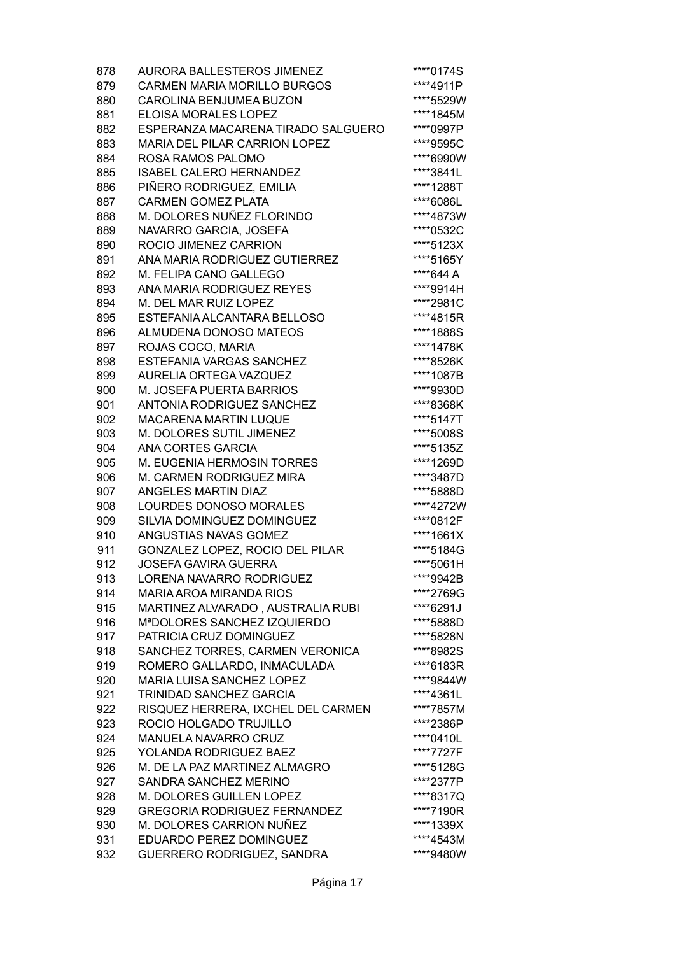| 878 | <b>AURORA BALLESTEROS JIMENEZ</b>    | ****0174S |
|-----|--------------------------------------|-----------|
| 879 | <b>CARMEN MARIA MORILLO BURGOS</b>   | ****4911P |
| 880 | <b>CAROLINA BENJUMEA BUZON</b>       | ****5529W |
| 881 | <b>ELOISA MORALES LOPEZ</b>          | ****1845M |
| 882 | ESPERANZA MACARENA TIRADO SALGUERO   | ****0997P |
| 883 | <b>MARIA DEL PILAR CARRION LOPEZ</b> | ****9595C |
| 884 | ROSA RAMOS PALOMO                    | ****6990W |
| 885 | <b>ISABEL CALERO HERNANDEZ</b>       | ****3841L |
| 886 | PIÑERO RODRIGUEZ, EMILIA             | ****1288T |
| 887 | <b>CARMEN GOMEZ PLATA</b>            | ****6086L |
| 888 | M. DOLORES NUÑEZ FLORINDO            | ****4873W |
| 889 | NAVARRO GARCIA, JOSEFA               | ****0532C |
| 890 | ROCIO JIMENEZ CARRION                | ****5123X |
| 891 | ANA MARIA RODRIGUEZ GUTIERREZ        | ****5165Y |
| 892 | M. FELIPA CANO GALLEGO               | ****644 A |
| 893 | ANA MARIA RODRIGUEZ REYES            | ****9914H |
| 894 | M. DEL MAR RUIZ LOPEZ                | ****2981C |
| 895 | ESTEFANIA ALCANTARA BELLOSO          | ****4815R |
|     |                                      |           |
| 896 | ALMUDENA DONOSO MATEOS               | ****1888S |
| 897 | ROJAS COCO, MARIA                    | ****1478K |
| 898 | <b>ESTEFANIA VARGAS SANCHEZ</b>      | ****8526K |
| 899 | AURELIA ORTEGA VAZQUEZ               | ****1087B |
| 900 | M. JOSEFA PUERTA BARRIOS             | ****9930D |
| 901 | ANTONIA RODRIGUEZ SANCHEZ            | ****8368K |
| 902 | <b>MACARENA MARTIN LUQUE</b>         | ****5147T |
| 903 | M. DOLORES SUTIL JIMENEZ             | ****5008S |
| 904 | <b>ANA CORTES GARCIA</b>             | ****5135Z |
| 905 | M. EUGENIA HERMOSIN TORRES           | ****1269D |
| 906 | M. CARMEN RODRIGUEZ MIRA             | ****3487D |
| 907 | <b>ANGELES MARTIN DIAZ</b>           | ****5888D |
| 908 | LOURDES DONOSO MORALES               | ****4272W |
| 909 | SILVIA DOMINGUEZ DOMINGUEZ           | ****0812F |
| 910 | ANGUSTIAS NAVAS GOMEZ                | ****1661X |
| 911 | GONZALEZ LOPEZ, ROCIO DEL PILAR      | ****5184G |
| 912 | <b>JOSEFA GAVIRA GUERRA</b>          | ****5061H |
| 913 | LORENA NAVARRO RODRIGUEZ             | ****9942B |
| 914 | MARIA AROA MIRANDA RIOS              | ****2769G |
| 915 | MARTINEZ ALVARADO, AUSTRALIA RUBI    | ****6291J |
| 916 | MªDOLORES SANCHEZ IZQUIERDO          | ****5888D |
| 917 | PATRICIA CRUZ DOMINGUEZ              | ****5828N |
| 918 | SANCHEZ TORRES, CARMEN VERONICA      | ****8982S |
| 919 | ROMERO GALLARDO, INMACULADA          | ****6183R |
| 920 | MARIA LUISA SANCHEZ LOPEZ            | ****9844W |
| 921 | TRINIDAD SANCHEZ GARCIA              | ****4361L |
| 922 | RISQUEZ HERRERA, IXCHEL DEL CARMEN   | ****7857M |
| 923 | ROCIO HOLGADO TRUJILLO               | ****2386P |
| 924 | <b>MANUELA NAVARRO CRUZ</b>          | ****0410L |
| 925 | <b>YOLANDA RODRIGUEZ BAEZ</b>        | ****7727F |
| 926 | M. DE LA PAZ MARTINEZ ALMAGRO        | ****5128G |
| 927 | SANDRA SANCHEZ MERINO                | ****2377P |
| 928 | M. DOLORES GUILLEN LOPEZ             | ****8317Q |
| 929 | <b>GREGORIA RODRIGUEZ FERNANDEZ</b>  | ****7190R |
| 930 | M. DOLORES CARRION NUÑEZ             | ****1339X |
| 931 | EDUARDO PEREZ DOMINGUEZ              | ****4543M |
| 932 | GUERRERO RODRIGUEZ, SANDRA           | ****9480W |
|     |                                      |           |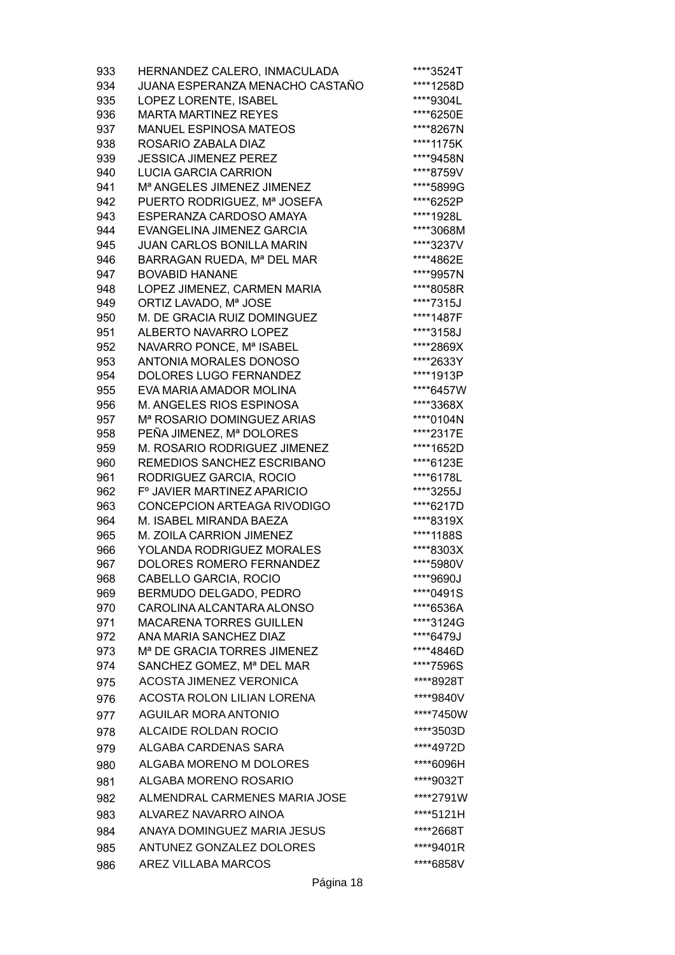| 933 | HERNANDEZ CALERO, INMACULADA            | ****3524T |
|-----|-----------------------------------------|-----------|
| 934 | JUANA ESPERANZA MENACHO CASTAÑO         | ****1258D |
| 935 | LOPEZ LORENTE, ISABEL                   | ****9304L |
| 936 | <b>MARTA MARTINEZ REYES</b>             | ****6250E |
| 937 | <b>MANUEL ESPINOSA MATEOS</b>           | ****8267N |
| 938 | ROSARIO ZABALA DIAZ                     | ****1175K |
| 939 | <b>JESSICA JIMENEZ PEREZ</b>            | ****9458N |
| 940 | <b>LUCIA GARCIA CARRION</b>             | ****8759V |
| 941 | M <sup>a</sup> ANGELES JIMENEZ JIMENEZ  | ****5899G |
| 942 | PUERTO RODRIGUEZ, Mª JOSEFA             | ****6252P |
| 943 | ESPERANZA CARDOSO AMAYA                 | ****1928L |
| 944 | EVANGELINA JIMENEZ GARCIA               | ****3068M |
| 945 | <b>JUAN CARLOS BONILLA MARIN</b>        | ****3237V |
| 946 | BARRAGAN RUEDA, Mª DEL MAR              | ****4862E |
| 947 | <b>BOVABID HANANE</b>                   | ****9957N |
| 948 | LOPEZ JIMENEZ, CARMEN MARIA             | ****8058R |
| 949 | ORTIZ LAVADO, Mª JOSE                   | ****7315J |
| 950 | M. DE GRACIA RUIZ DOMINGUEZ             | ****1487F |
| 951 | ALBERTO NAVARRO LOPEZ                   | ****3158J |
| 952 | NAVARRO PONCE, Mª ISABEL                | ****2869X |
| 953 | <b>ANTONIA MORALES DONOSO</b>           | ****2633Y |
| 954 | <b>DOLORES LUGO FERNANDEZ</b>           | ****1913P |
| 955 | EVA MARIA AMADOR MOLINA                 | ****6457W |
| 956 | M. ANGELES RIOS ESPINOSA                | ****3368X |
| 957 | M <sup>a</sup> ROSARIO DOMINGUEZ ARIAS  | ****0104N |
| 958 | PEÑA JIMENEZ, Mª DOLORES                | ****2317E |
| 959 | M. ROSARIO RODRIGUEZ JIMENEZ            | ****1652D |
| 960 | REMEDIOS SANCHEZ ESCRIBANO              | ****6123E |
| 961 | RODRIGUEZ GARCIA, ROCIO                 | ****6178L |
| 962 | F° JAVIER MARTINEZ APARICIO             | ****3255J |
| 963 | CONCEPCION ARTEAGA RIVODIGO             | ****6217D |
| 964 | M. ISABEL MIRANDA BAEZA                 | ****8319X |
| 965 | M. ZOILA CARRION JIMENEZ                | ****1188S |
| 966 | YOLANDA RODRIGUEZ MORALES               | ****8303X |
| 967 | <b>DOLORES ROMERO FERNANDEZ</b>         | ****5980V |
| 968 | CABELLO GARCIA, ROCIO                   | ****9690J |
| 969 | BERMUDO DELGADO, PEDRO                  | ****0491S |
| 970 | CAROLINA ALCANTARA ALONSO               | ****6536A |
| 971 | <b>MACARENA TORRES GUILLEN</b>          | ****3124G |
| 972 | ANA MARIA SANCHEZ DIAZ                  | ****6479J |
| 973 | M <sup>a</sup> DE GRACIA TORRES JIMENEZ | ****4846D |
| 974 | SANCHEZ GOMEZ, Mª DEL MAR               | ****7596S |
| 975 | <b>ACOSTA JIMENEZ VERONICA</b>          | ****8928T |
| 976 | ACOSTA ROLON LILIAN LORENA              | ****9840V |
| 977 | <b>AGUILAR MORA ANTONIO</b>             | ****7450W |
|     | ALCAIDE ROLDAN ROCIO                    | ****3503D |
| 978 |                                         |           |
| 979 | ALGABA CARDENAS SARA                    | ****4972D |
| 980 | ALGABA MORENO M DOLORES                 | ****6096H |
| 981 | ALGABA MORENO ROSARIO                   | ****9032T |
| 982 | ALMENDRAL CARMENES MARIA JOSE           | ****2791W |
| 983 | ALVAREZ NAVARRO AINOA                   | ****5121H |
| 984 | ANAYA DOMINGUEZ MARIA JESUS             | ****2668T |
| 985 | ANTUNEZ GONZALEZ DOLORES                | ****9401R |
|     |                                         |           |
| 986 | <b>AREZ VILLABA MARCOS</b>              | ****6858V |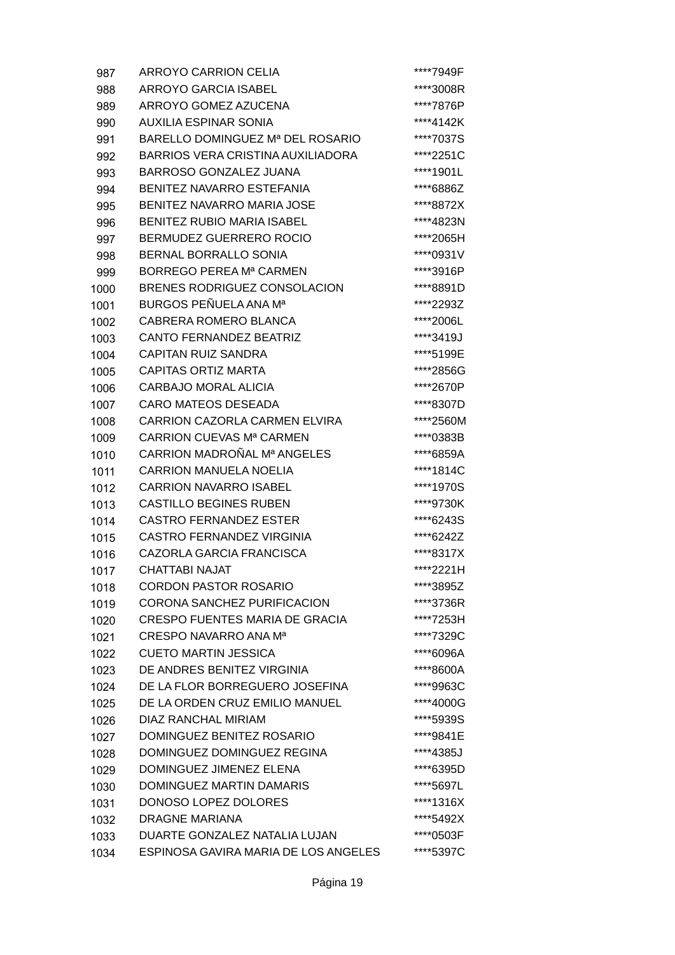| 987  | <b>ARROYO CARRION CELIA</b>              | ****7949F |
|------|------------------------------------------|-----------|
| 988  | ARROYO GARCIA ISABEL                     | ****3008R |
| 989  | ARROYO GOMEZ AZUCENA                     | ****7876P |
| 990  | <b>AUXILIA ESPINAR SONIA</b>             | ****4142K |
| 991  | BARELLO DOMINGUEZ Mª DEL ROSARIO         | ****7037S |
| 992  | <b>BARRIOS VERA CRISTINA AUXILIADORA</b> | ****2251C |
| 993  | <b>BARROSO GONZALEZ JUANA</b>            | ****1901L |
| 994  | <b>BENITEZ NAVARRO ESTEFANIA</b>         | ****6886Z |
| 995  | <b>BENITEZ NAVARRO MARIA JOSE</b>        | ****8872X |
| 996  | <b>BENITEZ RUBIO MARIA ISABEL</b>        | ****4823N |
| 997  | <b>BERMUDEZ GUERRERO ROCIO</b>           | ****2065H |
| 998  | <b>BERNAL BORRALLO SONIA</b>             | ****0931V |
| 999  | <b>BORREGO PEREA Mª CARMEN</b>           | ****3916P |
| 1000 | BRENES RODRIGUEZ CONSOLACION             | ****8891D |
| 1001 | BURGOS PEÑUELA ANA Mª                    | ****2293Z |
| 1002 | CABRERA ROMERO BLANCA                    | ****2006L |
| 1003 | <b>CANTO FERNANDEZ BEATRIZ</b>           | ****3419J |
| 1004 | <b>CAPITAN RUIZ SANDRA</b>               | ****5199E |
| 1005 | <b>CAPITAS ORTIZ MARTA</b>               | ****2856G |
| 1006 | CARBAJO MORAL ALICIA                     | ****2670P |
| 1007 | <b>CARO MATEOS DESEADA</b>               | ****8307D |
| 1008 | CARRION CAZORLA CARMEN ELVIRA            | ****2560M |
| 1009 | CARRION CUEVAS Mª CARMEN                 | ****0383B |
| 1010 | CARRION MADROÑAL Mª ANGELES              | ****6859A |
| 1011 | <b>CARRION MANUELA NOELIA</b>            | ****1814C |
| 1012 | <b>CARRION NAVARRO ISABEL</b>            | ****1970S |
| 1013 | <b>CASTILLO BEGINES RUBEN</b>            | ****9730K |
| 1014 | <b>CASTRO FERNANDEZ ESTER</b>            | ****6243S |
| 1015 | CASTRO FERNANDEZ VIRGINIA                | ****6242Z |
| 1016 | CAZORLA GARCIA FRANCISCA                 | ****8317X |
| 1017 | <b>CHATTABI NAJAT</b>                    | ****2221H |
| 1018 | <b>CORDON PASTOR ROSARIO</b>             | ****3895Z |
| 1019 | CORONA SANCHEZ PURIFICACION              | ****3736R |
| 1020 | <b>CRESPO FUENTES MARIA DE GRACIA</b>    | ****7253H |
| 1021 | CRESPO NAVARRO ANA Ma                    | ****7329C |
| 1022 | <b>CUETO MARTIN JESSICA</b>              | ****6096A |
| 1023 | DE ANDRES BENITEZ VIRGINIA               | ****8600A |
| 1024 | DE LA FLOR BORREGUERO JOSEFINA           | ****9963C |
| 1025 | DE LA ORDEN CRUZ EMILIO MANUEL           | ****4000G |
| 1026 | <b>DIAZ RANCHAL MIRIAM</b>               | ****5939S |
| 1027 | DOMINGUEZ BENITEZ ROSARIO                | ****9841E |
| 1028 | DOMINGUEZ DOMINGUEZ REGINA               | ****4385J |
| 1029 | DOMINGUEZ JIMENEZ ELENA                  | ****6395D |
| 1030 | DOMINGUEZ MARTIN DAMARIS                 | ****5697L |
| 1031 | DONOSO LOPEZ DOLORES                     | ****1316X |
| 1032 | <b>DRAGNE MARIANA</b>                    | ****5492X |
| 1033 | DUARTE GONZALEZ NATALIA LUJAN            | ****0503F |
| 1034 | ESPINOSA GAVIRA MARIA DE LOS ANGELES     | ****5397C |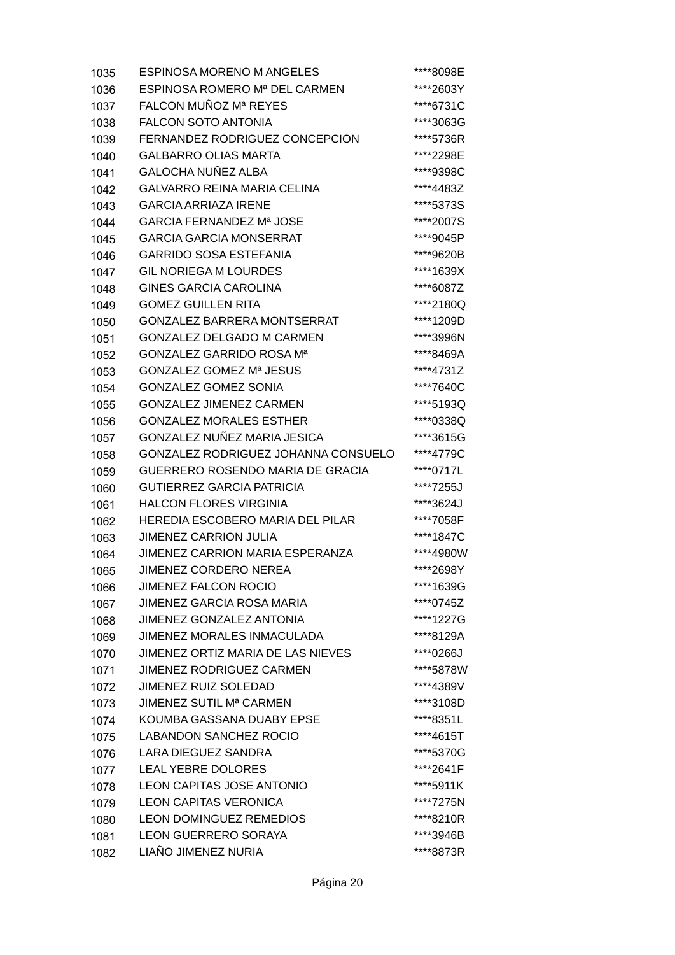| 1035 | <b>ESPINOSA MORENO M ANGELES</b>          | ****8098E |
|------|-------------------------------------------|-----------|
| 1036 | ESPINOSA ROMERO Mª DEL CARMEN             | ****2603Y |
| 1037 | FALCON MUÑOZ Mª REYES                     | ****6731C |
| 1038 | <b>FALCON SOTO ANTONIA</b>                | ****3063G |
| 1039 | FERNANDEZ RODRIGUEZ CONCEPCION            | ****5736R |
| 1040 | <b>GALBARRO OLIAS MARTA</b>               | ****2298E |
| 1041 | <b>GALOCHA NUÑEZ ALBA</b>                 | ****9398C |
| 1042 | <b>GALVARRO REINA MARIA CELINA</b>        | ****4483Z |
| 1043 | <b>GARCIA ARRIAZA IRENE</b>               | ****5373S |
| 1044 | GARCIA FERNANDEZ Mª JOSE                  | ****2007S |
| 1045 | <b>GARCIA GARCIA MONSERRAT</b>            | ****9045P |
| 1046 | <b>GARRIDO SOSA ESTEFANIA</b>             | ****9620B |
| 1047 | <b>GIL NORIEGA M LOURDES</b>              | ****1639X |
| 1048 | <b>GINES GARCIA CAROLINA</b>              | ****6087Z |
| 1049 | <b>GOMEZ GUILLEN RITA</b>                 | ****2180Q |
| 1050 | <b>GONZALEZ BARRERA MONTSERRAT</b>        | ****1209D |
| 1051 | <b>GONZALEZ DELGADO M CARMEN</b>          | ****3996N |
| 1052 | GONZALEZ GARRIDO ROSA Mª                  | ****8469A |
| 1053 | GONZALEZ GOMEZ Mª JESUS                   | ****4731Z |
| 1054 | <b>GONZALEZ GOMEZ SONIA</b>               | ****7640C |
| 1055 | <b>GONZALEZ JIMENEZ CARMEN</b>            | ****5193Q |
| 1056 | <b>GONZALEZ MORALES ESTHER</b>            | ****0338Q |
| 1057 | GONZALEZ NUÑEZ MARIA JESICA               | ****3615G |
| 1058 | GONZALEZ RODRIGUEZ JOHANNA CONSUELO       | ****4779C |
| 1059 | GUERRERO ROSENDO MARIA DE GRACIA          | ****0717L |
| 1060 | <b>GUTIERREZ GARCIA PATRICIA</b>          | ****7255J |
| 1061 | <b>HALCON FLORES VIRGINIA</b>             | ****3624J |
| 1062 | <b>HEREDIA ESCOBERO MARIA DEL PILAR</b>   | ****7058F |
| 1063 | <b>JIMENEZ CARRION JULIA</b>              | ****1847C |
| 1064 | JIMENEZ CARRION MARIA ESPERANZA           | ****4980W |
| 1065 | JIMENEZ CORDERO NEREA                     | ****2698Y |
| 1066 | <b>JIMENEZ FALCON ROCIO</b>               | ****1639G |
| 1067 | <b>JIMENEZ GARCIA ROSA MARIA</b>          | ****0745Z |
| 1068 | <b>JIMENEZ GONZALEZ ANTONIA</b>           | ****1227G |
| 1069 | <b>JIMENEZ MORALES INMACULADA</b>         | ****8129A |
| 1070 | JIMENEZ ORTIZ MARIA DE LAS NIEVES         | ****0266J |
| 1071 | <b>JIMENEZ RODRIGUEZ CARMEN</b>           | ****5878W |
| 1072 | JIMENEZ RUIZ SOLEDAD                      | ****4389V |
| 1073 | <b>JIMENEZ SUTIL M<sup>a</sup> CARMEN</b> | ****3108D |
| 1074 | KOUMBA GASSANA DUABY EPSE                 | ****8351L |
| 1075 | <b>LABANDON SANCHEZ ROCIO</b>             | ****4615T |
| 1076 | <b>LARA DIEGUEZ SANDRA</b>                | ****5370G |
| 1077 | <b>LEAL YEBRE DOLORES</b>                 | ****2641F |
| 1078 | <b>LEON CAPITAS JOSE ANTONIO</b>          | ****5911K |
| 1079 | <b>LEON CAPITAS VERONICA</b>              | ****7275N |
| 1080 | <b>LEON DOMINGUEZ REMEDIOS</b>            | ****8210R |
| 1081 | <b>LEON GUERRERO SORAYA</b>               | ****3946B |
| 1082 | LIAÑO JIMENEZ NURIA                       | ****8873R |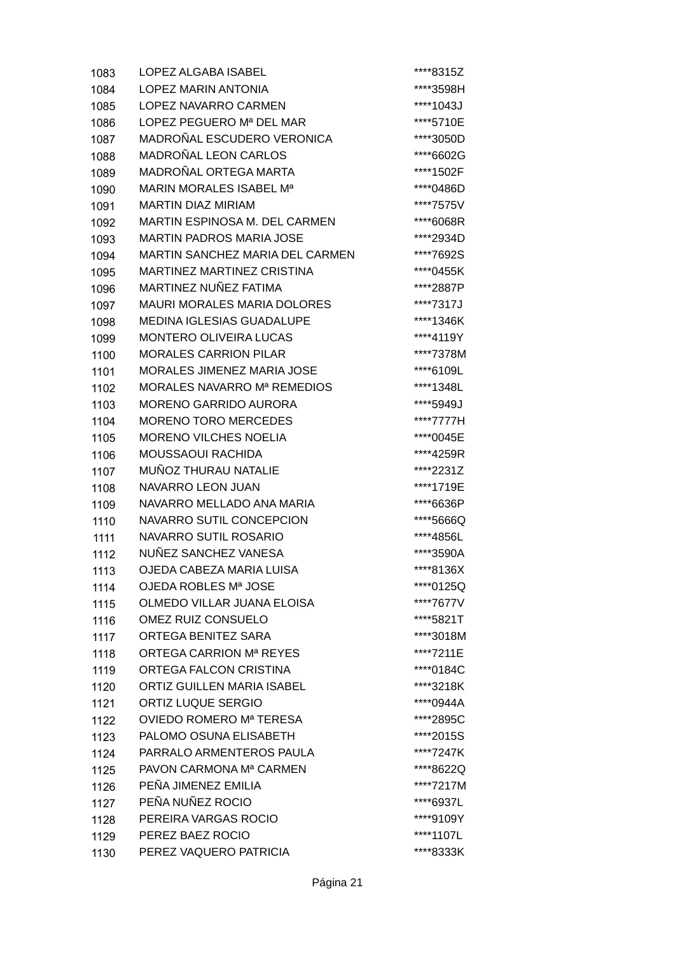| 1083 | <b>LOPEZ ALGABA ISABEL</b>          | ****8315Z |
|------|-------------------------------------|-----------|
| 1084 | <b>LOPEZ MARIN ANTONIA</b>          | ****3598H |
| 1085 | LOPEZ NAVARRO CARMEN                | ****1043J |
| 1086 | LOPEZ PEGUERO Mª DEL MAR            | ****5710E |
| 1087 | MADROÑAL ESCUDERO VERONICA          | ****3050D |
| 1088 | <b>MADROÑAL LEON CARLOS</b>         | ****6602G |
| 1089 | MADROÑAL ORTEGA MARTA               | ****1502F |
| 1090 | MARIN MORALES ISABEL M <sup>a</sup> | ****0486D |
| 1091 | <b>MARTIN DIAZ MIRIAM</b>           | ****7575V |
| 1092 | MARTIN ESPINOSA M. DEL CARMEN       | ****6068R |
| 1093 | <b>MARTIN PADROS MARIA JOSE</b>     | ****2934D |
| 1094 | MARTIN SANCHEZ MARIA DEL CARMEN     | ****7692S |
| 1095 | MARTINEZ MARTINEZ CRISTINA          | ****0455K |
| 1096 | MARTINEZ NUÑEZ FATIMA               | ****2887P |
| 1097 | <b>MAURI MORALES MARIA DOLORES</b>  | ****7317J |
| 1098 | MEDINA IGLESIAS GUADALUPE           | ****1346K |
| 1099 | <b>MONTERO OLIVEIRA LUCAS</b>       | ****4119Y |
| 1100 | <b>MORALES CARRION PILAR</b>        | ****7378M |
| 1101 | MORALES JIMENEZ MARIA JOSE          | ****6109L |
| 1102 | MORALES NAVARRO Mª REMEDIOS         | ****1348L |
| 1103 | <b>MORENO GARRIDO AURORA</b>        | ****5949J |
| 1104 | <b>MORENO TORO MERCEDES</b>         | ****7777H |
| 1105 | MORENO VILCHES NOELIA               | ****0045E |
| 1106 | MOUSSAOUI RACHIDA                   | ****4259R |
| 1107 | MUÑOZ THURAU NATALIE                | ****2231Z |
| 1108 | NAVARRO LEON JUAN                   | ****1719E |
| 1109 | NAVARRO MELLADO ANA MARIA           | ****6636P |
| 1110 | NAVARRO SUTIL CONCEPCION            | ****5666Q |
| 1111 | NAVARRO SUTIL ROSARIO               | ****4856L |
| 1112 | NUÑEZ SANCHEZ VANESA                | ****3590A |
| 1113 | OJEDA CABEZA MARIA LUISA            | ****8136X |
| 1114 | OJEDA ROBLES Mª JOSE                | ****0125Q |
| 1115 | OLMEDO VILLAR JUANA ELOISA          | ****7677V |
| 1116 | OMEZ RUIZ CONSUELO                  | ****5821T |
| 1117 | ORTEGA BENITEZ SARA                 | ****3018M |
| 1118 | ORTEGA CARRION Mª REYES             | ****7211E |
| 1119 | ORTEGA FALCON CRISTINA              | ****0184C |
| 1120 | ORTIZ GUILLEN MARIA ISABEL          | ****3218K |
| 1121 | ORTIZ LUQUE SERGIO                  | ****0944A |
| 1122 | OVIEDO ROMERO Mª TERESA             | ****2895C |
| 1123 | PALOMO OSUNA ELISABETH              | ****2015S |
| 1124 | PARRALO ARMENTEROS PAULA            | ****7247K |
| 1125 | PAVON CARMONA Mª CARMEN             | ****8622Q |
| 1126 | PEÑA JIMENEZ EMILIA                 | ****7217M |
| 1127 | PEÑA NUÑEZ ROCIO                    | ****6937L |
| 1128 | PEREIRA VARGAS ROCIO                | ****9109Y |
| 1129 | PEREZ BAEZ ROCIO                    | ****1107L |
| 1130 | PEREZ VAQUERO PATRICIA              | ****8333K |
|      |                                     |           |